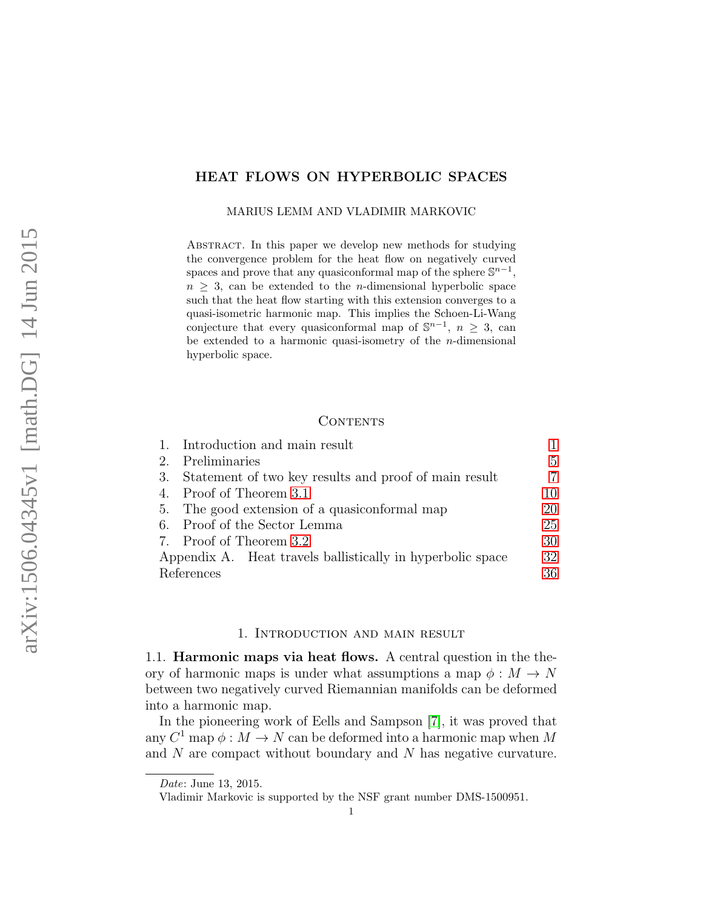# <span id="page-0-1"></span>HEAT FLOWS ON HYPERBOLIC SPACES

MARIUS LEMM AND VLADIMIR MARKOVIC

Abstract. In this paper we develop new methods for studying the convergence problem for the heat flow on negatively curved spaces and prove that any quasiconformal map of the sphere  $\mathbb{S}^{n-1}$ ,  $n > 3$ , can be extended to the *n*-dimensional hyperbolic space such that the heat flow starting with this extension converges to a quasi-isometric harmonic map. This implies the Schoen-Li-Wang conjecture that every quasiconformal map of  $\mathbb{S}^{n-1}$ ,  $n \geq 3$ , can be extended to a harmonic quasi-isometry of the  $n$ -dimensional hyperbolic space.

### CONTENTS

|                                                            | 1. Introduction and main result                       |    |
|------------------------------------------------------------|-------------------------------------------------------|----|
| 2.                                                         | Preliminaries                                         | 5  |
| 3.                                                         | Statement of two key results and proof of main result |    |
|                                                            | 4. Proof of Theorem 3.1                               | 10 |
|                                                            | 5. The good extension of a quasiconformal map         | 20 |
|                                                            | 6. Proof of the Sector Lemma                          | 25 |
|                                                            | 7. Proof of Theorem 3.2                               | 30 |
| Appendix A. Heat travels ballistically in hyperbolic space |                                                       | 32 |
| References                                                 |                                                       | 36 |

### 1. Introduction and main result

<span id="page-0-0"></span>1.1. Harmonic maps via heat flows. A central question in the theory of harmonic maps is under what assumptions a map  $\phi : M \to N$ between two negatively curved Riemannian manifolds can be deformed into a harmonic map.

In the pioneering work of Eells and Sampson [\[7\]](#page-35-1), it was proved that any  $C^1$  map  $\phi: M \to N$  can be deformed into a harmonic map when M and N are compact without boundary and N has negative curvature.

Date: June 13, 2015.

Vladimir Markovic is supported by the NSF grant number DMS-1500951.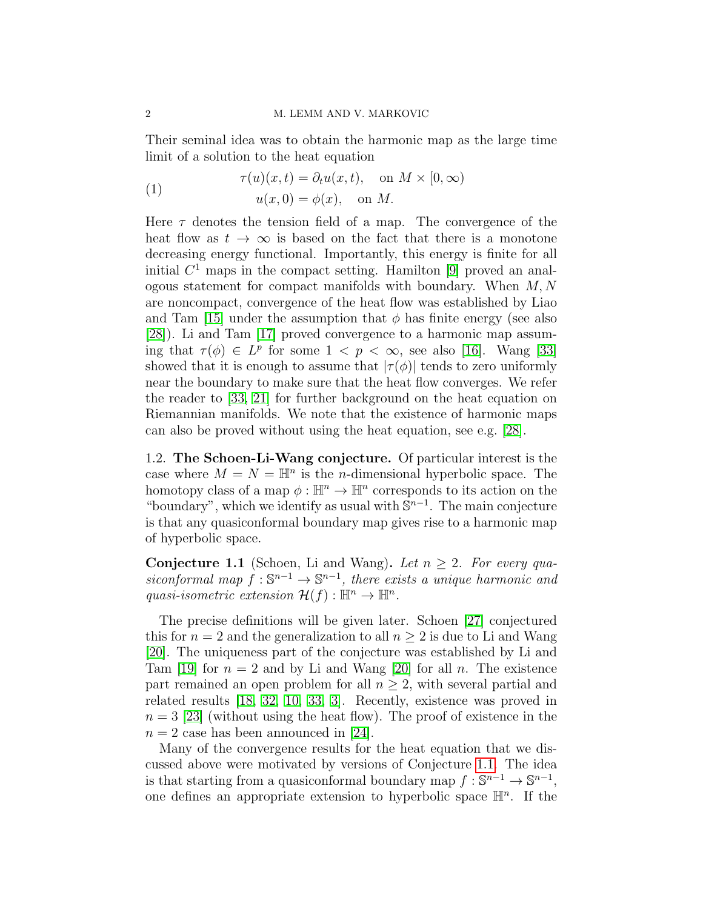Their seminal idea was to obtain the harmonic map as the large time limit of a solution to the heat equation

<span id="page-1-1"></span>(1) 
$$
\tau(u)(x,t) = \partial_t u(x,t), \text{ on } M \times [0,\infty)
$$

$$
u(x,0) = \phi(x), \text{ on } M.
$$

Here  $\tau$  denotes the tension field of a map. The convergence of the heat flow as  $t \to \infty$  is based on the fact that there is a monotone decreasing energy functional. Importantly, this energy is finite for all initial  $C<sup>1</sup>$  maps in the compact setting. Hamilton [\[9\]](#page-35-2) proved an analogous statement for compact manifolds with boundary. When  $M, N$ are noncompact, convergence of the heat flow was established by Liao and Tam [\[15\]](#page-36-0) under the assumption that  $\phi$  has finite energy (see also [\[28\]](#page-36-1)). Li and Tam [\[17\]](#page-36-2) proved convergence to a harmonic map assuming that  $\tau(\phi) \in L^p$  for some  $1 \leq p \leq \infty$ , see also [\[16\]](#page-36-3). Wang [\[33\]](#page-36-4) showed that it is enough to assume that  $|\tau(\phi)|$  tends to zero uniformly near the boundary to make sure that the heat flow converges. We refer the reader to [\[33,](#page-36-4) [21\]](#page-36-5) for further background on the heat equation on Riemannian manifolds. We note that the existence of harmonic maps can also be proved without using the heat equation, see e.g. [\[28\]](#page-36-1).

1.2. The Schoen-Li-Wang conjecture. Of particular interest is the case where  $M = N = \mathbb{H}^n$  is the *n*-dimensional hyperbolic space. The homotopy class of a map  $\phi: \mathbb{H}^n \to \mathbb{H}^n$  corresponds to its action on the "boundary", which we identify as usual with  $\mathbb{S}^{n-1}$ . The main conjecture is that any quasiconformal boundary map gives rise to a harmonic map of hyperbolic space.

<span id="page-1-0"></span>**Conjecture 1.1** (Schoen, Li and Wang). Let  $n \geq 2$ . For every quasiconformal map  $f : \mathbb{S}^{n-1} \to \mathbb{S}^{n-1}$ , there exists a unique harmonic and quasi-isometric extension  $\mathcal{H}(f): \mathbb{H}^n \to \mathbb{H}^n$ .

The precise definitions will be given later. Schoen [\[27\]](#page-36-6) conjectured this for  $n = 2$  and the generalization to all  $n \geq 2$  is due to Li and Wang [\[20\]](#page-36-7). The uniqueness part of the conjecture was established by Li and Tam [\[19\]](#page-36-8) for  $n = 2$  and by Li and Wang [\[20\]](#page-36-7) for all n. The existence part remained an open problem for all  $n \geq 2$ , with several partial and related results [\[18,](#page-36-9) [32,](#page-36-10) [10,](#page-35-3) [33,](#page-36-4) [3\]](#page-35-4). Recently, existence was proved in  $n = 3$  [\[23\]](#page-36-11) (without using the heat flow). The proof of existence in the  $n = 2$  case has been announced in [\[24\]](#page-36-12).

Many of the convergence results for the heat equation that we discussed above were motivated by versions of Conjecture [1.1.](#page-1-0) The idea is that starting from a quasiconformal boundary map  $f: \mathbb{S}^{n-1} \to \mathbb{S}^{n-1}$ , one defines an appropriate extension to hyperbolic space  $\mathbb{H}^n$ . If the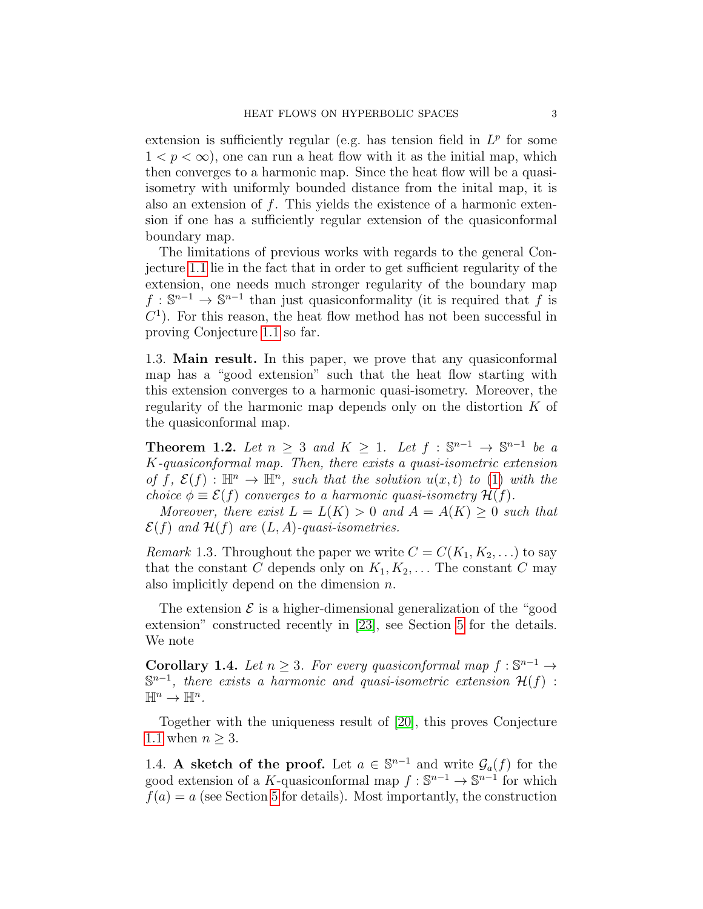extension is sufficiently regular (e.g. has tension field in  $L^p$  for some  $1 < p < \infty$ ), one can run a heat flow with it as the initial map, which then converges to a harmonic map. Since the heat flow will be a quasiisometry with uniformly bounded distance from the inital map, it is also an extension of  $f$ . This yields the existence of a harmonic extension if one has a sufficiently regular extension of the quasiconformal boundary map.

The limitations of previous works with regards to the general Conjecture [1.1](#page-1-0) lie in the fact that in order to get sufficient regularity of the extension, one needs much stronger regularity of the boundary map  $f: \mathbb{S}^{n-1} \to \mathbb{S}^{n-1}$  than just quasiconformality (it is required that f is  $C<sup>1</sup>$ ). For this reason, the heat flow method has not been successful in proving Conjecture [1.1](#page-1-0) so far.

1.3. Main result. In this paper, we prove that any quasiconformal map has a "good extension" such that the heat flow starting with this extension converges to a harmonic quasi-isometry. Moreover, the regularity of the harmonic map depends only on the distortion K of the quasiconformal map.

<span id="page-2-0"></span>**Theorem 1.2.** Let  $n \geq 3$  and  $K \geq 1$ . Let  $f : \mathbb{S}^{n-1} \to \mathbb{S}^{n-1}$  be a K-quasiconformal map. Then, there exists a quasi-isometric extension of f,  $\mathcal{E}(f)$ :  $\mathbb{H}^n \to \mathbb{H}^n$ , such that the solution  $u(x,t)$  to [\(1\)](#page-1-1) with the choice  $\phi \equiv \mathcal{E}(f)$  converges to a harmonic quasi-isometry  $\mathcal{H}(f)$ .

Moreover, there exist  $L = L(K) > 0$  and  $A = A(K) \geq 0$  such that  $\mathcal{E}(f)$  and  $\mathcal{H}(f)$  are  $(L, A)$ -quasi-isometries.

*Remark* 1.3. Throughout the paper we write  $C = C(K_1, K_2, \ldots)$  to say that the constant C depends only on  $K_1, K_2, \ldots$  The constant C may also implicitly depend on the dimension  $n$ .

The extension  $\mathcal E$  is a higher-dimensional generalization of the "good" extension" constructed recently in [\[23\]](#page-36-11), see Section [5](#page-19-0) for the details. We note

<span id="page-2-1"></span>**Corollary 1.4.** Let  $n \geq 3$ . For every quasiconformal map  $f : \mathbb{S}^{n-1} \to$  $\mathbb{S}^{n-1}$ , there exists a harmonic and quasi-isometric extension  $\mathcal{H}(f)$ :  $\mathbb{H}^n \to \mathbb{H}^n$ .

Together with the uniqueness result of [\[20\]](#page-36-7), this proves Conjecture [1.1](#page-1-0) when  $n \geq 3$ .

1.4. A sketch of the proof. Let  $a \in \mathbb{S}^{n-1}$  and write  $\mathcal{G}_a(f)$  for the good extension of a K-quasiconformal map  $f : \mathbb{S}^{n-1} \to \mathbb{S}^{n-1}$  for which  $f(a) = a$  (see Section [5](#page-19-0) for details). Most importantly, the construction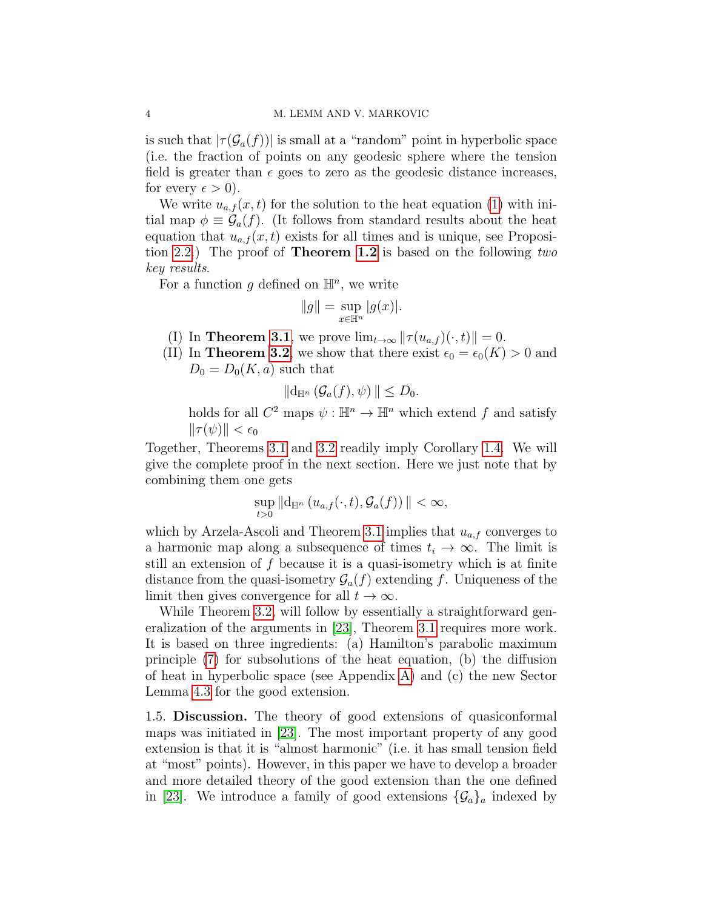is such that  $|\tau(\mathcal{G}_a(f))|$  is small at a "random" point in hyperbolic space (i.e. the fraction of points on any geodesic sphere where the tension field is greater than  $\epsilon$  goes to zero as the geodesic distance increases, for every  $\epsilon > 0$ ).

We write  $u_{a,f}(x,t)$  for the solution to the heat equation [\(1\)](#page-1-1) with initial map  $\phi \equiv \mathcal{G}_a(f)$ . (It follows from standard results about the heat equation that  $u_{a,f}(x,t)$  exists for all times and is unique, see Proposition [2.2.](#page-6-2)) The proof of Theorem [1.2](#page-2-0) is based on the following two key results.

For a function g defined on  $\mathbb{H}^n$ , we write

$$
||g|| = \sup_{x \in \mathbb{H}^n} |g(x)|.
$$

- (I) In **Theorem [3.1](#page-6-1)**, we prove  $\lim_{t\to\infty} ||\tau(u_{a,f}) (\cdot, t)|| = 0.$
- (II) In **Theorem [3.2](#page-7-0)**, we show that there exist  $\epsilon_0 = \epsilon_0(K) > 0$  and  $D_0 = D_0(K, a)$  such that

$$
\|\mathrm{d}_{\mathbb{H}^n}\left(\mathcal{G}_a(f),\psi\right)\|\leq D_0.
$$

holds for all  $C^2$  maps  $\psi : \mathbb{H}^n \to \mathbb{H}^n$  which extend f and satisfy  $\|\tau(\psi)\| < \epsilon_0$ 

Together, Theorems [3.1](#page-6-1) and [3.2](#page-7-0) readily imply Corollary [1.4.](#page-2-1) We will give the complete proof in the next section. Here we just note that by combining them one gets

$$
\sup_{t>0} ||d_{\mathbb{H}^n} (u_{a,f}(\cdot,t),\mathcal{G}_a(f))|| < \infty,
$$

which by Arzela-Ascoli and Theorem [3.1](#page-6-1) implies that  $u_{a,f}$  converges to a harmonic map along a subsequence of times  $t_i \to \infty$ . The limit is still an extension of  $f$  because it is a quasi-isometry which is at finite distance from the quasi-isometry  $\mathcal{G}_a(f)$  extending f. Uniqueness of the limit then gives convergence for all  $t \to \infty$ .

While Theorem [3.2,](#page-7-0) will follow by essentially a straightforward generalization of the arguments in [\[23\]](#page-36-11), Theorem [3.1](#page-6-1) requires more work. It is based on three ingredients: (a) Hamilton's parabolic maximum principle [\(7\)](#page-9-1) for subsolutions of the heat equation, (b) the diffusion of heat in hyperbolic space (see Appendix [A\)](#page-31-0) and (c) the new Sector Lemma [4.3](#page-12-0) for the good extension.

1.5. Discussion. The theory of good extensions of quasiconformal maps was initiated in [\[23\]](#page-36-11). The most important property of any good extension is that it is "almost harmonic" (i.e. it has small tension field at "most" points). However, in this paper we have to develop a broader and more detailed theory of the good extension than the one defined in [\[23\]](#page-36-11). We introduce a family of good extensions  $\{\mathcal{G}_a\}_a$  indexed by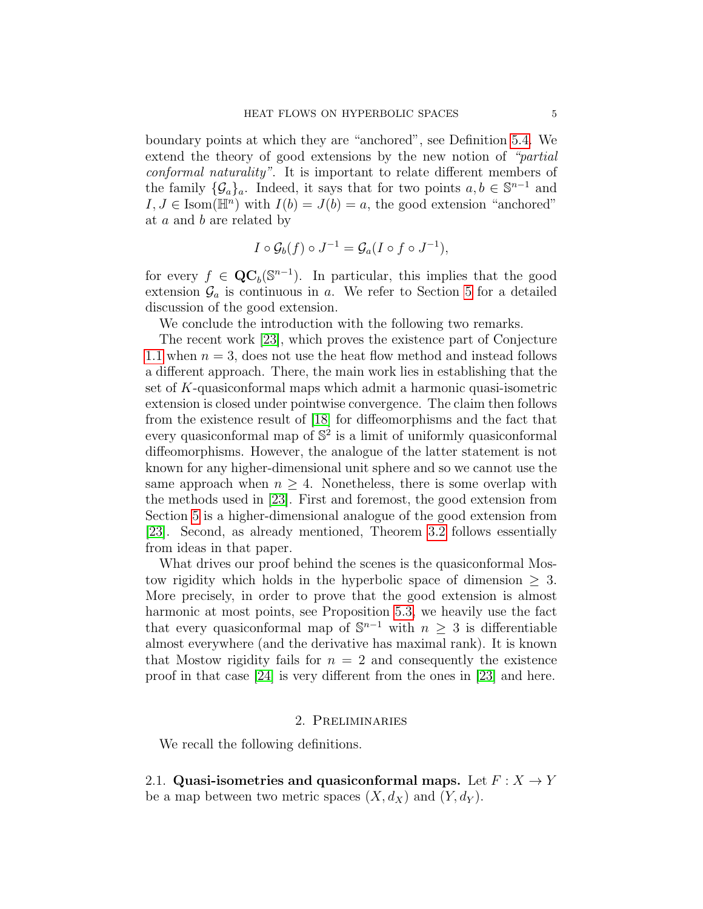boundary points at which they are "anchored", see Definition [5.4.](#page-22-0) We extend the theory of good extensions by the new notion of "partial conformal naturality". It is important to relate different members of the family  $\{\mathcal{G}_a\}_a$ . Indeed, it says that for two points  $a, b \in \mathbb{S}^{n-1}$  and  $I, J \in \text{Isom}(\mathbb{H}^n)$  with  $I(b) = J(b) = a$ , the good extension "anchored" at a and b are related by

$$
I \circ \mathcal{G}_b(f) \circ J^{-1} = \mathcal{G}_a(I \circ f \circ J^{-1}),
$$

for every  $f \in \mathbf{QC}_b(\mathbb{S}^{n-1})$ . In particular, this implies that the good extension  $\mathcal{G}_a$  is continuous in a. We refer to Section [5](#page-19-0) for a detailed discussion of the good extension.

We conclude the introduction with the following two remarks.

The recent work [\[23\]](#page-36-11), which proves the existence part of Conjecture [1.1](#page-1-0) when  $n = 3$ , does not use the heat flow method and instead follows a different approach. There, the main work lies in establishing that the set of K-quasiconformal maps which admit a harmonic quasi-isometric extension is closed under pointwise convergence. The claim then follows from the existence result of [\[18\]](#page-36-9) for diffeomorphisms and the fact that every quasiconformal map of  $\mathbb{S}^2$  is a limit of uniformly quasiconformal diffeomorphisms. However, the analogue of the latter statement is not known for any higher-dimensional unit sphere and so we cannot use the same approach when  $n \geq 4$ . Nonetheless, there is some overlap with the methods used in [\[23\]](#page-36-11). First and foremost, the good extension from Section [5](#page-19-0) is a higher-dimensional analogue of the good extension from [\[23\]](#page-36-11). Second, as already mentioned, Theorem [3.2](#page-7-0) follows essentially from ideas in that paper.

What drives our proof behind the scenes is the quasiconformal Mostow rigidity which holds in the hyperbolic space of dimension  $\geq 3$ . More precisely, in order to prove that the good extension is almost harmonic at most points, see Proposition [5.3,](#page-21-0) we heavily use the fact that every quasiconformal map of  $\mathbb{S}^{n-1}$  with  $n \geq 3$  is differentiable almost everywhere (and the derivative has maximal rank). It is known that Mostow rigidity fails for  $n = 2$  and consequently the existence proof in that case [\[24\]](#page-36-12) is very different from the ones in [\[23\]](#page-36-11) and here.

### 2. Preliminaries

<span id="page-4-0"></span>We recall the following definitions.

2.1. Quasi-isometries and quasiconformal maps. Let  $F: X \to Y$ be a map between two metric spaces  $(X, d_X)$  and  $(Y, d_Y)$ .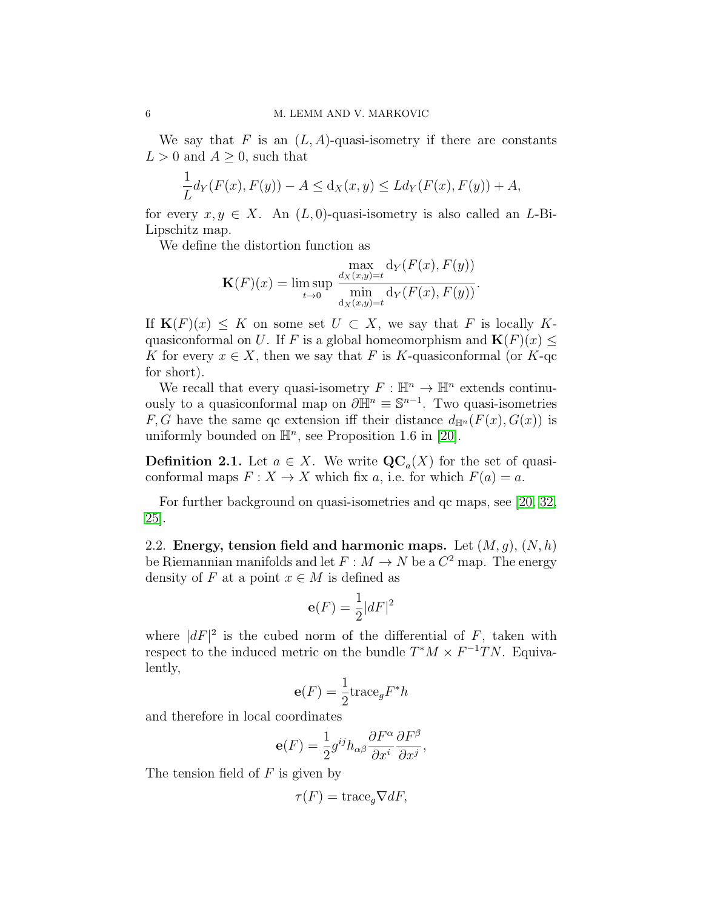We say that  $F$  is an  $(L, A)$ -quasi-isometry if there are constants  $L > 0$  and  $A \geq 0$ , such that

$$
\frac{1}{L}d_Y(F(x), F(y)) - A \le d_X(x, y) \le Ld_Y(F(x), F(y)) + A,
$$

for every  $x, y \in X$ . An  $(L, 0)$ -quasi-isometry is also called an L-Bi-Lipschitz map.

We define the distortion function as

$$
\mathbf{K}(F)(x) = \limsup_{t \to 0} \frac{\max_{d_X(x,y)=t} d_Y(F(x), F(y))}{\min_{d_X(x,y)=t} d_Y(F(x), F(y))}.
$$

If  $\mathbf{K}(F)(x) \leq K$  on some set  $U \subset X$ , we say that F is locally Kquasiconformal on U. If F is a global homeomorphism and  $\mathbf{K}(F)(x) \leq$ K for every  $x \in X$ , then we say that F is K-quasiconformal (or K-qc for short).

We recall that every quasi-isometry  $F: \mathbb{H}^n \to \mathbb{H}^n$  extends continuously to a quasiconformal map on  $\partial \mathbb{H}^n \equiv \mathbb{S}^{n-1}$ . Two quasi-isometries F, G have the same qc extension iff their distance  $d_{\mathbb{H}^n}(F(x), G(x))$  is uniformly bounded on  $\mathbb{H}^n$ , see Proposition 1.6 in [\[20\]](#page-36-7).

**Definition 2.1.** Let  $a \in X$ . We write  $\mathbf{QC}_a(X)$  for the set of quasiconformal maps  $F: X \to X$  which fix a, i.e. for which  $F(a) = a$ .

For further background on quasi-isometries and qc maps, see [\[20,](#page-36-7) [32,](#page-36-10) [25\]](#page-36-13).

2.2. Energy, tension field and harmonic maps. Let  $(M, g)$ ,  $(N, h)$ be Riemannian manifolds and let  $F : M \to N$  be a  $C^2$  map. The energy density of F at a point  $x \in M$  is defined as

$$
\mathbf{e}(F) = \frac{1}{2}|dF|^2
$$

where  $|dF|^2$  is the cubed norm of the differential of F, taken with respect to the induced metric on the bundle  $T^*M \times F^{-1}TN$ . Equivalently,

$$
\mathbf{e}(F) = \frac{1}{2} \text{trace}_g F^* h
$$

and therefore in local coordinates

$$
\mathbf{e}(F) = \frac{1}{2}g^{ij}h_{\alpha\beta}\frac{\partial F^{\alpha}}{\partial x^{i}}\frac{\partial F^{\beta}}{\partial x^{j}},
$$

The tension field of  $F$  is given by

$$
\tau(F) = \text{trace}_g \nabla dF,
$$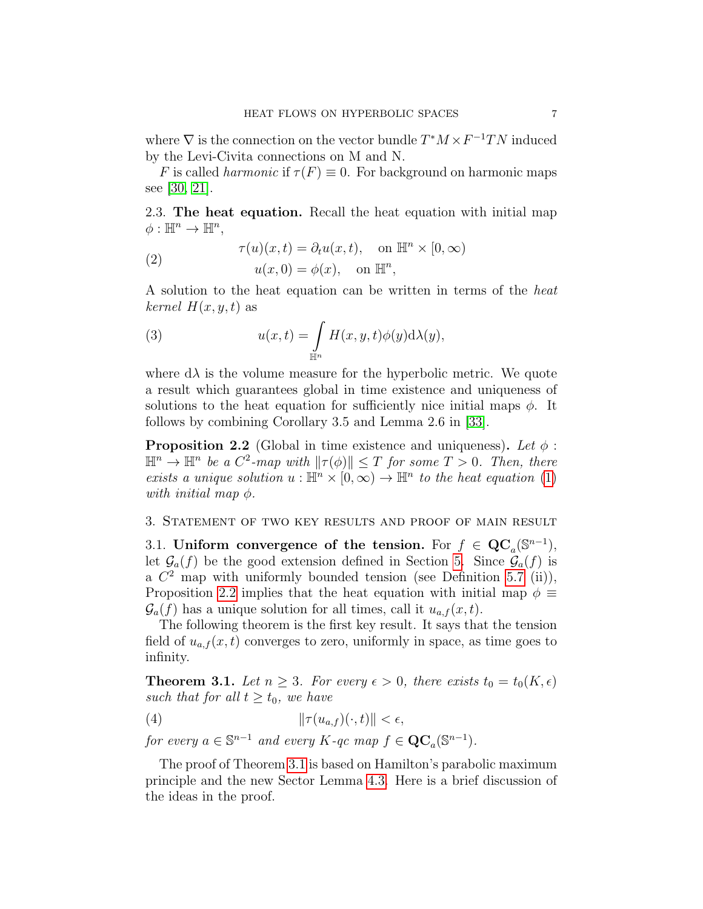where  $\nabla$  is the connection on the vector bundle  $T^*M \times F^{-1}TN$  induced by the Levi-Civita connections on M and N.

F is called *harmonic* if  $\tau(F) \equiv 0$ . For background on harmonic maps see [\[30,](#page-36-14) [21\]](#page-36-5).

2.3. The heat equation. Recall the heat equation with initial map  $\phi: \mathbb{H}^n \to \mathbb{H}^n$ ,

(2) 
$$
\tau(u)(x,t) = \partial_t u(x,t), \text{ on } \mathbb{H}^n \times [0,\infty)
$$

$$
u(x,0) = \phi(x), \text{ on } \mathbb{H}^n,
$$

A solution to the heat equation can be written in terms of the heat kernel  $H(x, y, t)$  as

<span id="page-6-4"></span>(3) 
$$
u(x,t) = \int_{\mathbb{H}^n} H(x,y,t)\phi(y)\mathrm{d}\lambda(y),
$$

where  $d\lambda$  is the volume measure for the hyperbolic metric. We quote a result which guarantees global in time existence and uniqueness of solutions to the heat equation for sufficiently nice initial maps  $\phi$ . It follows by combining Corollary 3.5 and Lemma 2.6 in [\[33\]](#page-36-4).

<span id="page-6-2"></span>**Proposition 2.2** (Global in time existence and uniqueness). Let  $\phi$ :  $\mathbb{H}^n \to \mathbb{H}^n$  be a  $C^2$ -map with  $\|\tau(\phi)\| \leq T$  for some  $T > 0$ . Then, there exists a unique solution  $u : \mathbb{H}^n \times [0, \infty) \to \mathbb{H}^n$  to the heat equation [\(1\)](#page-1-1) with initial map  $\phi$ .

### <span id="page-6-0"></span>3. Statement of two key results and proof of main result

3.1. Uniform convergence of the tension. For  $f \in \mathbf{QC}_a(\mathbb{S}^{n-1}),$ let  $\mathcal{G}_a(f)$  be the good extension defined in Section [5.](#page-19-0) Since  $\mathcal{G}_a(f)$  is a  $C<sup>2</sup>$  map with uniformly bounded tension (see Definition [5.7](#page-23-0) (ii)), Proposition [2.2](#page-6-2) implies that the heat equation with initial map  $\phi \equiv$  $\mathcal{G}_a(f)$  has a unique solution for all times, call it  $u_{a,f}(x,t)$ .

The following theorem is the first key result. It says that the tension field of  $u_{a,f}(x,t)$  converges to zero, uniformly in space, as time goes to infinity.

<span id="page-6-1"></span>**Theorem 3.1.** Let  $n \geq 3$ . For every  $\epsilon > 0$ , there exists  $t_0 = t_0(K, \epsilon)$ such that for all  $t \geq t_0$ , we have

<span id="page-6-3"></span>(4) kτ (ua,f )(·, t)k < ,

for every  $a \in \mathbb{S}^{n-1}$  and every  $K$ -qc map  $f \in \mathbf{QC}_a(\mathbb{S}^{n-1})$ .

The proof of Theorem [3.1](#page-6-1) is based on Hamilton's parabolic maximum principle and the new Sector Lemma [4.3.](#page-12-0) Here is a brief discussion of the ideas in the proof.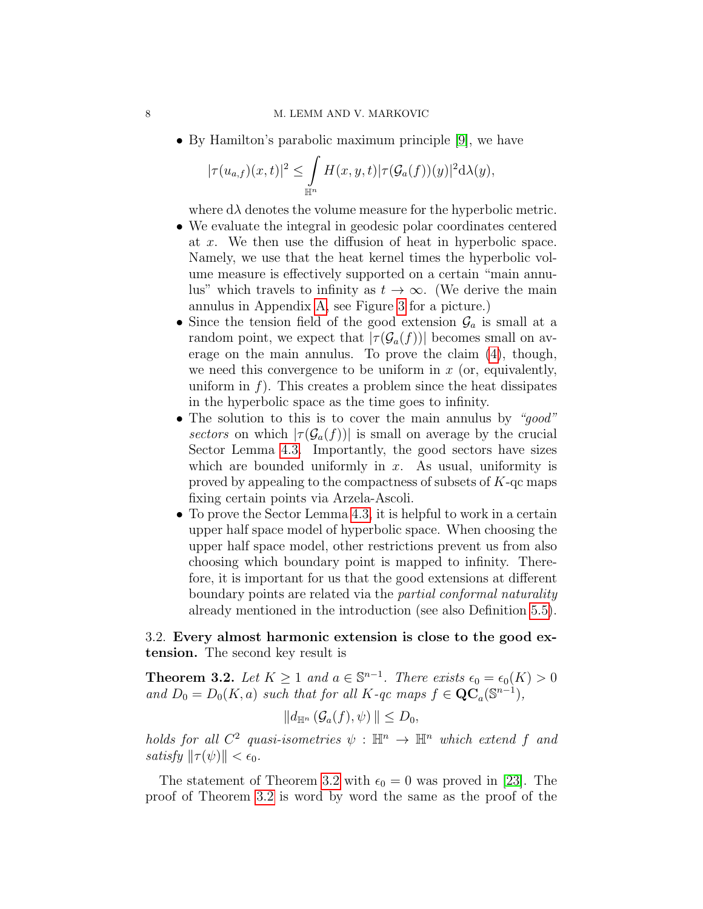• By Hamilton's parabolic maximum principle [\[9\]](#page-35-2), we have

$$
|\tau(u_{a,f})(x,t)|^2 \leq \int_{\mathbb{H}^n} H(x,y,t)|\tau(\mathcal{G}_a(f))(y)|^2 d\lambda(y),
$$

where  $d\lambda$  denotes the volume measure for the hyperbolic metric.

- We evaluate the integral in geodesic polar coordinates centered at x. We then use the diffusion of heat in hyperbolic space. Namely, we use that the heat kernel times the hyperbolic volume measure is effectively supported on a certain "main annulus" which travels to infinity as  $t \to \infty$ . (We derive the main annulus in Appendix [A,](#page-31-0) see Figure [3](#page-32-0) for a picture.)
- Since the tension field of the good extension  $\mathcal{G}_a$  is small at a random point, we expect that  $|\tau(\mathcal{G}_a(f))|$  becomes small on average on the main annulus. To prove the claim [\(4\)](#page-6-3), though, we need this convergence to be uniform in  $x$  (or, equivalently, uniform in  $f$ ). This creates a problem since the heat dissipates in the hyperbolic space as the time goes to infinity.
- The solution to this is to cover the main annulus by "*good*" sectors on which  $|\tau(\mathcal{G}_a(f))|$  is small on average by the crucial Sector Lemma [4.3.](#page-12-0) Importantly, the good sectors have sizes which are bounded uniformly in  $x$ . As usual, uniformity is proved by appealing to the compactness of subsets of K-qc maps fixing certain points via Arzela-Ascoli.
- To prove the Sector Lemma [4.3,](#page-12-0) it is helpful to work in a certain upper half space model of hyperbolic space. When choosing the upper half space model, other restrictions prevent us from also choosing which boundary point is mapped to infinity. Therefore, it is important for us that the good extensions at different boundary points are related via the partial conformal naturality already mentioned in the introduction (see also Definition [5.5\)](#page-22-1).

# 3.2. Every almost harmonic extension is close to the good extension. The second key result is

<span id="page-7-0"></span>**Theorem 3.2.** Let  $K \geq 1$  and  $a \in \mathbb{S}^{n-1}$ . There exists  $\epsilon_0 = \epsilon_0(K) > 0$ and  $D_0 = D_0(K, a)$  such that for all K-qc maps  $f \in \mathbf{QC}_a(\mathbb{S}^{n-1}),$ 

$$
||d_{\mathbb{H}^n}(\mathcal{G}_a(f),\psi)|| \leq D_0,
$$

holds for all  $C^2$  quasi-isometries  $\psi : \mathbb{H}^n \to \mathbb{H}^n$  which extend f and satisfy  $\|\tau(\psi)\| < \epsilon_0$ .

The statement of Theorem [3.2](#page-7-0) with  $\epsilon_0 = 0$  was proved in [\[23\]](#page-36-11). The proof of Theorem [3.2](#page-7-0) is word by word the same as the proof of the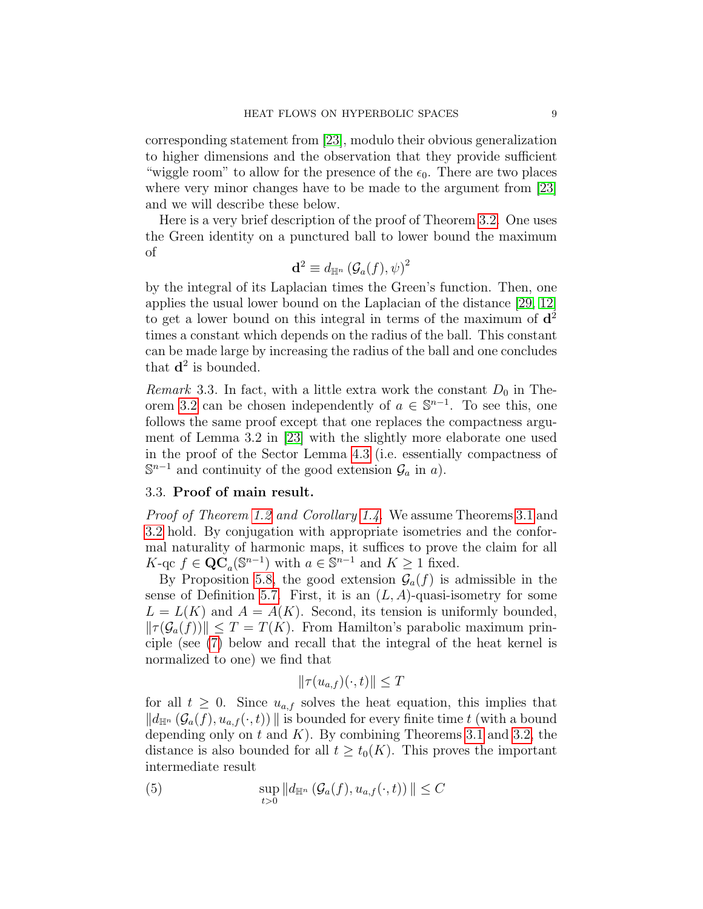corresponding statement from [\[23\]](#page-36-11), modulo their obvious generalization to higher dimensions and the observation that they provide sufficient "wiggle room" to allow for the presence of the  $\epsilon_0$ . There are two places where very minor changes have to be made to the argument from [\[23\]](#page-36-11) and we will describe these below.

Here is a very brief description of the proof of Theorem [3.2.](#page-7-0) One uses the Green identity on a punctured ball to lower bound the maximum of

$$
\mathbf{d}^2 \equiv d_{\mathbb{H}^n} \left( \mathcal{G}_a(f), \psi \right)^2
$$

by the integral of its Laplacian times the Green's function. Then, one applies the usual lower bound on the Laplacian of the distance [\[29,](#page-36-15) [12\]](#page-35-5) to get a lower bound on this integral in terms of the maximum of  $\mathbf{d}^2$ times a constant which depends on the radius of the ball. This constant can be made large by increasing the radius of the ball and one concludes that  $\mathbf{d}^2$  is bounded.

Remark 3.3. In fact, with a little extra work the constant  $D_0$  in The-orem [3.2](#page-7-0) can be chosen independently of  $a \in \mathbb{S}^{n-1}$ . To see this, one follows the same proof except that one replaces the compactness argument of Lemma 3.2 in [\[23\]](#page-36-11) with the slightly more elaborate one used in the proof of the Sector Lemma [4.3](#page-12-0) (i.e. essentially compactness of  $\mathbb{S}^{n-1}$  and continuity of the good extension  $\mathcal{G}_a$  in a).

## 3.3. Proof of main result.

Proof of Theorem [1.2](#page-2-0) and Corollary [1.4.](#page-2-1) We assume Theorems [3.1](#page-6-1) and [3.2](#page-7-0) hold. By conjugation with appropriate isometries and the conformal naturality of harmonic maps, it suffices to prove the claim for all K-qc  $f \in \mathbf{QC}_a(\mathbb{S}^{n-1})$  with  $a \in \mathbb{S}^{n-1}$  and  $K \geq 1$  fixed.

By Proposition [5.8,](#page-23-1) the good extension  $\mathcal{G}_a(f)$  is admissible in the sense of Definition [5.7.](#page-23-0) First, it is an  $(L, A)$ -quasi-isometry for some  $L = L(K)$  and  $A = A(K)$ . Second, its tension is uniformly bounded,  $\|\tau(\mathcal{G}_a(f))\| \leq T = T(K)$ . From Hamilton's parabolic maximum principle (see [\(7\)](#page-9-1) below and recall that the integral of the heat kernel is normalized to one) we find that

<span id="page-8-0"></span>
$$
\|\tau(u_{a,f})(\cdot,t)\| \le T
$$

for all  $t \geq 0$ . Since  $u_{a,f}$  solves the heat equation, this implies that  $\|d_{\mathbb{H}^n}(\mathcal{G}_a(f), u_{a,f}(\cdot, t))\|$  is bounded for every finite time t (with a bound depending only on  $t$  and  $K$ ). By combining Theorems [3.1](#page-6-1) and [3.2,](#page-7-0) the distance is also bounded for all  $t \geq t_0(K)$ . This proves the important intermediate result

(5) 
$$
\sup_{t>0} ||d_{\mathbb{H}^n} (\mathcal{G}_a(f), u_{a,f}(\cdot, t))|| \leq C
$$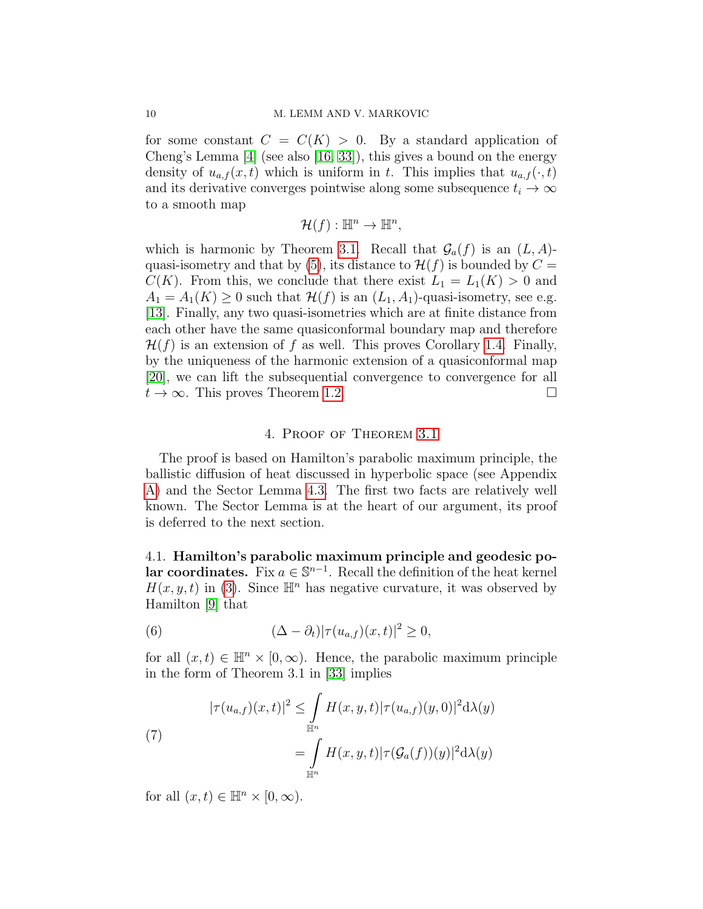for some constant  $C = C(K) > 0$ . By a standard application of Cheng's Lemma [\[4\]](#page-35-6) (see also [\[16,](#page-36-3) [33\]](#page-36-4)), this gives a bound on the energy density of  $u_{a,f}(x,t)$  which is uniform in t. This implies that  $u_{a,f}(\cdot,t)$ and its derivative converges pointwise along some subsequence  $t_i \to \infty$ to a smooth map

$$
\mathcal{H}(f): \mathbb{H}^n \to \mathbb{H}^n,
$$

which is harmonic by Theorem [3.1.](#page-6-1) Recall that  $\mathcal{G}_a(f)$  is an  $(L, A)$ -quasi-isometry and that by [\(5\)](#page-8-0), its distance to  $\mathcal{H}(f)$  is bounded by  $C =$  $C(K)$ . From this, we conclude that there exist  $L_1 = L_1(K) > 0$  and  $A_1 = A_1(K) \geq 0$  such that  $\mathcal{H}(f)$  is an  $(L_1, A_1)$ -quasi-isometry, see e.g. [\[13\]](#page-35-7). Finally, any two quasi-isometries which are at finite distance from each other have the same quasiconformal boundary map and therefore  $\mathcal{H}(f)$  is an extension of f as well. This proves Corollary [1.4.](#page-2-1) Finally, by the uniqueness of the harmonic extension of a quasiconformal map [\[20\]](#page-36-7), we can lift the subsequential convergence to convergence for all  $t \to \infty$ . This proves Theorem [1.2.](#page-2-0)

## 4. Proof of Theorem [3.1](#page-6-1)

<span id="page-9-0"></span>The proof is based on Hamilton's parabolic maximum principle, the ballistic diffusion of heat discussed in hyperbolic space (see Appendix [A\)](#page-31-0) and the Sector Lemma [4.3.](#page-12-0) The first two facts are relatively well known. The Sector Lemma is at the heart of our argument, its proof is deferred to the next section.

4.1. Hamilton's parabolic maximum principle and geodesic polar coordinates. Fix  $a \in \mathbb{S}^{n-1}$ . Recall the definition of the heat kernel  $H(x, y, t)$  in [\(3\)](#page-6-4). Since  $\mathbb{H}^n$  has negative curvature, it was observed by Hamilton [\[9\]](#page-35-2) that

(6) 
$$
(\Delta - \partial_t)|\tau(u_{a,f})(x,t)|^2 \geq 0,
$$

for all  $(x, t) \in \mathbb{H}^n \times [0, \infty)$ . Hence, the parabolic maximum principle in the form of Theorem 3.1 in [\[33\]](#page-36-4) implies

<span id="page-9-1"></span>(7)  

$$
|\tau(u_{a,f})(x,t)|^2 \leq \int_{\mathbb{H}^n} H(x,y,t)|\tau(u_{a,f})(y,0)|^2 d\lambda(y)
$$

$$
= \int_{\mathbb{H}^n} H(x,y,t)|\tau(\mathcal{G}_a(f))(y)|^2 d\lambda(y)
$$

for all  $(x, t) \in \mathbb{H}^n \times [0, \infty)$ .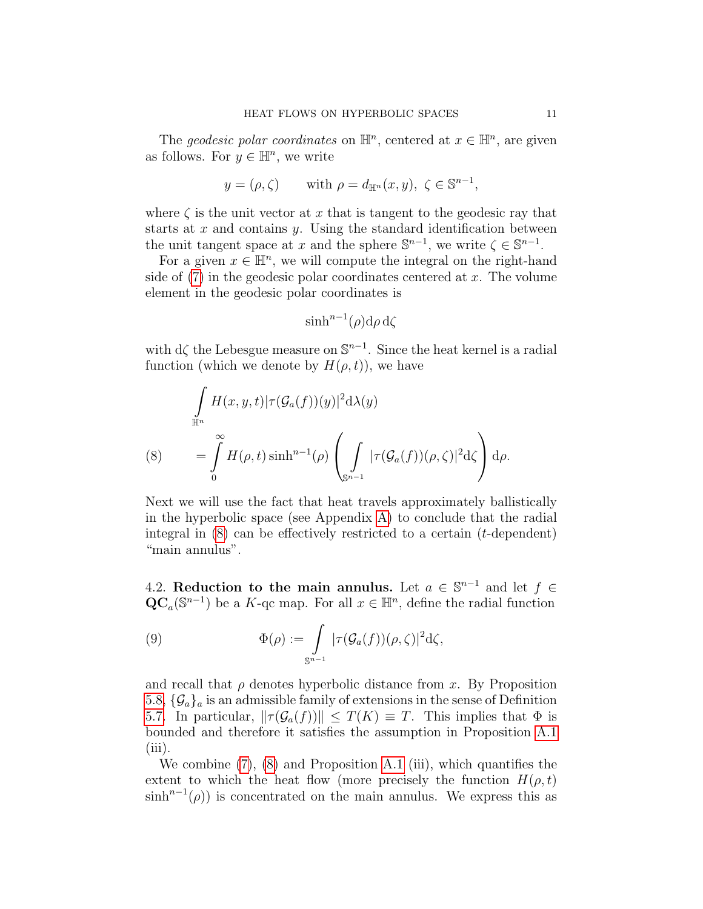The geodesic polar coordinates on  $\mathbb{H}^n$ , centered at  $x \in \mathbb{H}^n$ , are given as follows. For  $y \in \mathbb{H}^n$ , we write

$$
y = (\rho, \zeta)
$$
 with  $\rho = d_{\mathbb{H}^n}(x, y), \zeta \in \mathbb{S}^{n-1}$ ,

where  $\zeta$  is the unit vector at x that is tangent to the geodesic ray that starts at  $x$  and contains  $y$ . Using the standard identification between the unit tangent space at x and the sphere  $\mathbb{S}^{n-1}$ , we write  $\zeta \in \mathbb{S}^{n-1}$ .

For a given  $x \in \mathbb{H}^n$ , we will compute the integral on the right-hand side of  $(7)$  in the geodesic polar coordinates centered at x. The volume element in the geodesic polar coordinates is

$$
\sinh^{n-1}(\rho) d\rho d\zeta
$$

with  $d\zeta$  the Lebesgue measure on  $\mathbb{S}^{n-1}$ . Since the heat kernel is a radial function (which we denote by  $H(\rho, t)$ ), we have

<span id="page-10-0"></span>
$$
\int_{\mathbb{H}^n} H(x, y, t) |\tau(\mathcal{G}_a(f))(y)|^2 d\lambda(y)
$$
\n
$$
(8) \qquad = \int_0^\infty H(\rho, t) \sinh^{n-1}(\rho) \left( \int_{\mathbb{S}^{n-1}} |\tau(\mathcal{G}_a(f))(\rho, \zeta)|^2 d\zeta \right) d\rho.
$$

Next we will use the fact that heat travels approximately ballistically in the hyperbolic space (see Appendix [A\)](#page-31-0) to conclude that the radial integral in  $(8)$  can be effectively restricted to a certain  $(t$ -dependent) "main annulus".

4.2. Reduction to the main annulus. Let  $a \in \mathbb{S}^{n-1}$  and let  $f \in$  $\mathbf{QC}_a(\mathbb{S}^{n-1})$  be a K-qc map. For all  $x \in \mathbb{H}^n$ , define the radial function

<span id="page-10-1"></span>(9) 
$$
\Phi(\rho) := \int\limits_{\mathbb{S}^{n-1}} |\tau(\mathcal{G}_a(f))(\rho,\zeta)|^2 d\zeta,
$$

and recall that  $\rho$  denotes hyperbolic distance from x. By Proposition [5.8,](#page-23-1)  $\{\mathcal{G}_a\}_a$  is an admissible family of extensions in the sense of Definition [5.7.](#page-23-0) In particular,  $\|\tau(\mathcal{G}_a(f))\| \leq T(K) \equiv T$ . This implies that  $\Phi$  is bounded and therefore it satisfies the assumption in Proposition [A.1](#page-0-1)  $(iii)$ .

We combine [\(7\)](#page-9-1), [\(8\)](#page-10-0) and Proposition [A.1](#page-0-1) (iii), which quantifies the extent to which the heat flow (more precisely the function  $H(\rho, t)$ )  $\sinh^{n-1}(\rho)$  is concentrated on the main annulus. We express this as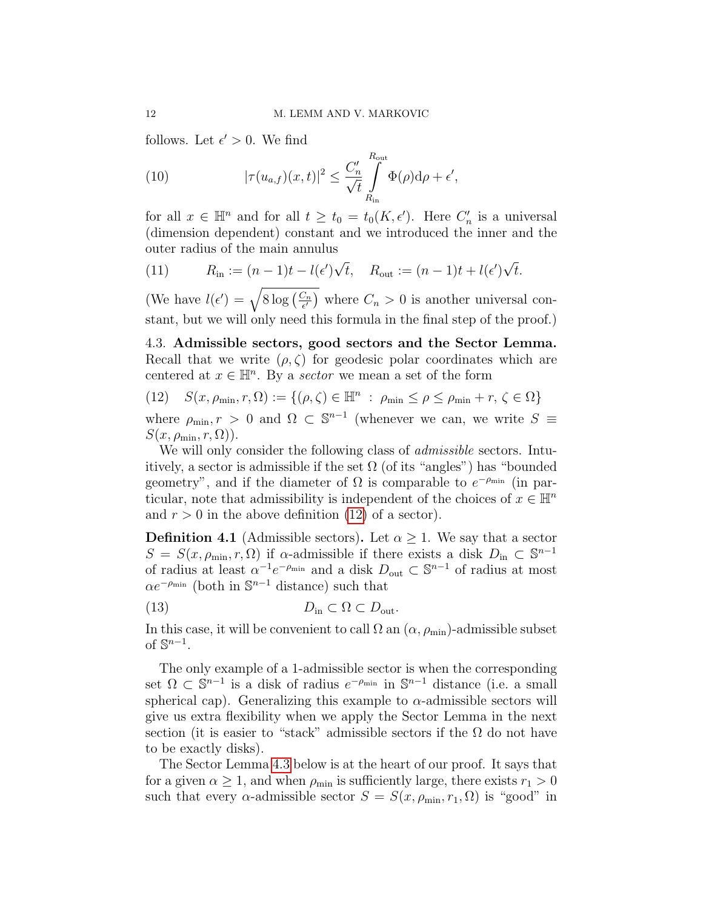follows. Let  $\epsilon' > 0$ . We find

<span id="page-11-2"></span>(10) 
$$
|\tau(u_{a,f})(x,t)|^2 \leq \frac{C'_n}{\sqrt{t}} \int_{R_{\text{in}}}^{R_{\text{out}}} \Phi(\rho) d\rho + \epsilon',
$$

for all  $x \in \mathbb{H}^n$  and for all  $t \ge t_0 = t_0(K, \epsilon')$ . Here  $C'_n$  is a universal (dimension dependent) constant and we introduced the inner and the outer radius of the main annulus

<span id="page-11-3"></span>(11) 
$$
R_{\text{in}} := (n-1)t - l(\epsilon')\sqrt{t}, \quad R_{\text{out}} := (n-1)t + l(\epsilon')\sqrt{t}.
$$

(We have  $l(\epsilon') = \sqrt{8 \log \left( \frac{C_n}{\epsilon'} \right)}$  $\left(\frac{C_n}{\epsilon'}\right)$  where  $C_n > 0$  is another universal constant, but we will only need this formula in the final step of the proof.)

4.3. Admissible sectors, good sectors and the Sector Lemma. Recall that we write  $(\rho, \zeta)$  for geodesic polar coordinates which are centered at  $x \in \mathbb{H}^n$ . By a sector we mean a set of the form

<span id="page-11-0"></span>(12) 
$$
S(x, \rho_{\min}, r, \Omega) := \{ (\rho, \zeta) \in \mathbb{H}^n : \rho_{\min} \le \rho \le \rho_{\min} + r, \zeta \in \Omega \}
$$

where  $\rho_{\min}, r > 0$  and  $\Omega \subset \mathbb{S}^{n-1}$  (whenever we can, we write  $S \equiv$  $S(x, \rho_{\min}, r, \Omega)$ ).

We will only consider the following class of *admissible* sectors. Intuitively, a sector is admissible if the set  $\Omega$  (of its "angles") has "bounded geometry", and if the diameter of  $\Omega$  is comparable to  $e^{-\rho_{\min}}$  (in particular, note that admissibility is independent of the choices of  $x \in \mathbb{H}^n$ and  $r > 0$  in the above definition [\(12\)](#page-11-0) of a sector).

<span id="page-11-1"></span>**Definition 4.1** (Admissible sectors). Let  $\alpha \geq 1$ . We say that a sector  $S = S(x, \rho_{\min}, r, \Omega)$  if  $\alpha$ -admissible if there exists a disk  $D_{\text{in}} \subset \mathbb{S}^{n-1}$ of radius at least  $\alpha^{-1}e^{-\rho_{\min}}$  and a disk  $D_{\text{out}} \subset \mathbb{S}^{n-1}$  of radius at most  $\alpha e^{-\rho_{\min}}$  (both in  $\mathbb{S}^{n-1}$  distance) such that

(13) 
$$
D_{\text{in}} \subset \Omega \subset D_{\text{out}}.
$$

In this case, it will be convenient to call  $\Omega$  an  $(\alpha, \rho_{\min})$ -admissible subset of  $\mathbb{S}^{n-1}$ .

The only example of a 1-admissible sector is when the corresponding set  $\Omega \subset \mathbb{S}^{n-1}$  is a disk of radius  $e^{-\rho_{\min}}$  in  $\mathbb{S}^{n-1}$  distance (i.e. a small spherical cap). Generalizing this example to  $\alpha$ -admissible sectors will give us extra flexibility when we apply the Sector Lemma in the next section (it is easier to "stack" admissible sectors if the  $\Omega$  do not have to be exactly disks).

The Sector Lemma [4.3](#page-12-0) below is at the heart of our proof. It says that for a given  $\alpha \geq 1$ , and when  $\rho_{\min}$  is sufficiently large, there exists  $r_1 > 0$ such that every  $\alpha$ -admissible sector  $S = S(x, \rho_{\min}, r_1, \Omega)$  is "good" in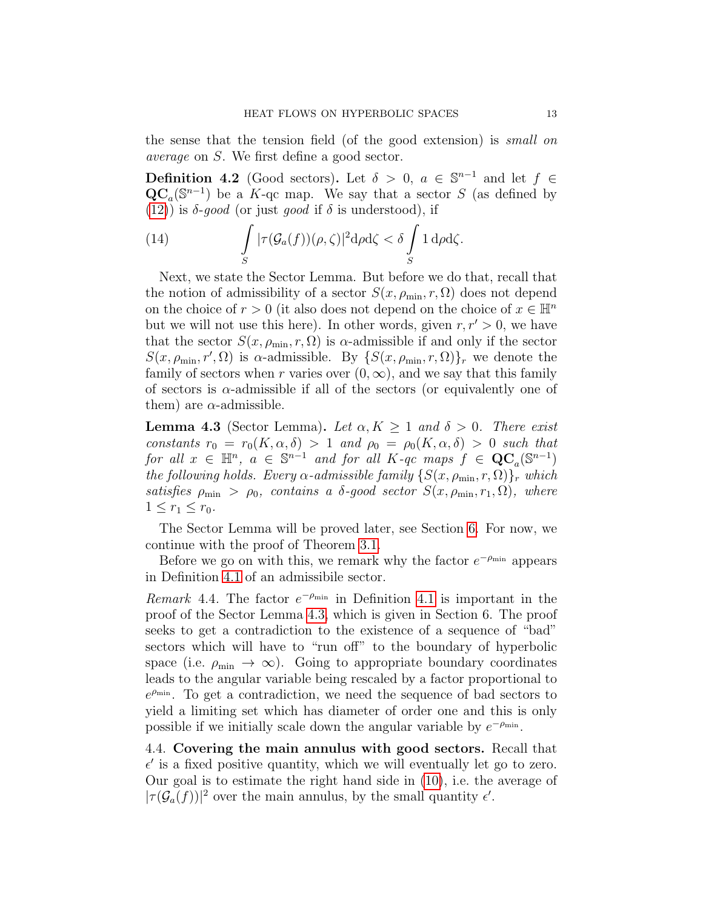the sense that the tension field (of the good extension) is small on average on S. We first define a good sector.

<span id="page-12-1"></span>**Definition 4.2** (Good sectors). Let  $\delta > 0$ ,  $a \in \mathbb{S}^{n-1}$  and let  $f \in$  $\mathbf{QC}_a(\mathbb{S}^{n-1})$  be a K-qc map. We say that a sector S (as defined by [\(12\)](#page-11-0)) is  $\delta$ -good (or just good if  $\delta$  is understood), if

(14) 
$$
\int_{S} |\tau(\mathcal{G}_a(f))(\rho,\zeta)|^2 d\rho d\zeta < \delta \int_{S} 1 d\rho d\zeta.
$$

Next, we state the Sector Lemma. But before we do that, recall that the notion of admissibility of a sector  $S(x, \rho_{\min}, r, \Omega)$  does not depend on the choice of  $r > 0$  (it also does not depend on the choice of  $x \in \mathbb{H}^n$ but we will not use this here). In other words, given  $r, r' > 0$ , we have that the sector  $S(x, \rho_{\min}, r, \Omega)$  is  $\alpha$ -admissible if and only if the sector  $S(x, \rho_{\min}, r', \Omega)$  is  $\alpha$ -admissible. By  $\{S(x, \rho_{\min}, r, \Omega)\}_r$  we denote the family of sectors when r varies over  $(0, \infty)$ , and we say that this family of sectors is  $\alpha$ -admissible if all of the sectors (or equivalently one of them) are  $\alpha$ -admissible.

<span id="page-12-0"></span>**Lemma 4.3** (Sector Lemma). Let  $\alpha, K \geq 1$  and  $\delta > 0$ . There exist constants  $r_0 = r_0(K, \alpha, \delta) > 1$  and  $\rho_0 = \rho_0(K, \alpha, \delta) > 0$  such that for all  $x \in \mathbb{H}^n$ ,  $a \in \mathbb{S}^{n-1}$  and for all  $K$ -qc maps  $f \in \mathbf{QC}_a(\mathbb{S}^{n-1})$ the following holds. Every  $\alpha$ -admissible family  $\{S(x, \rho_{\min}, r, \Omega)\}_r$  which satisfies  $\rho_{\min} > \rho_0$ , contains a δ-good sector  $S(x, \rho_{\min}, r_1, \Omega)$ , where  $1 \le r_1 \le r_0$ .

The Sector Lemma will be proved later, see Section [6.](#page-24-0) For now, we continue with the proof of Theorem [3.1.](#page-6-1)

Before we go on with this, we remark why the factor  $e^{-\rho_{\min}}$  appears in Definition [4.1](#page-11-1) of an admissibile sector.

Remark 4.4. The factor  $e^{-\rho_{\min}}$  in Definition [4.1](#page-11-1) is important in the proof of the Sector Lemma [4.3,](#page-12-0) which is given in Section 6. The proof seeks to get a contradiction to the existence of a sequence of "bad" sectors which will have to "run off" to the boundary of hyperbolic space (i.e.  $\rho_{\min} \to \infty$ ). Going to appropriate boundary coordinates leads to the angular variable being rescaled by a factor proportional to  $e^{\rho_{\min}}$ . To get a contradiction, we need the sequence of bad sectors to yield a limiting set which has diameter of order one and this is only possible if we initially scale down the angular variable by  $e^{-\rho_{\min}}$ .

4.4. Covering the main annulus with good sectors. Recall that  $\epsilon'$  is a fixed positive quantity, which we will eventually let go to zero. Our goal is to estimate the right hand side in [\(10\)](#page-11-2), i.e. the average of  $|\tau(\mathcal{G}_a(f))|^2$  over the main annulus, by the small quantity  $\epsilon'$ .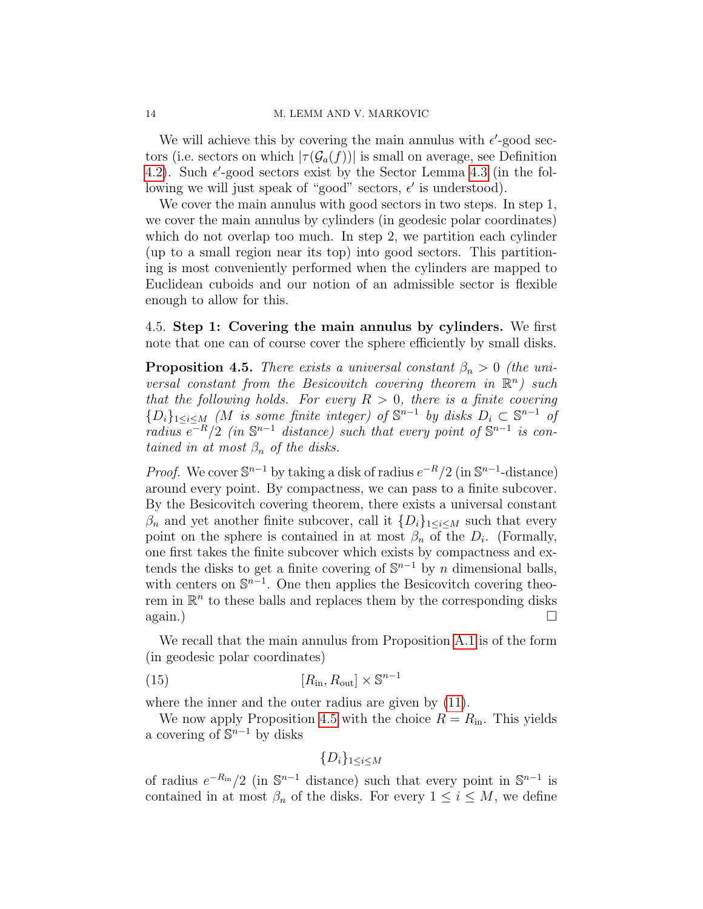We will achieve this by covering the main annulus with  $\epsilon'$ -good sectors (i.e. sectors on which  $|\tau(\mathcal{G}_a(f))|$  is small on average, see Definition [4.2\)](#page-12-1). Such  $\epsilon'$ -good sectors exist by the Sector Lemma [4.3](#page-12-0) (in the following we will just speak of "good" sectors,  $\epsilon'$  is understood).

We cover the main annulus with good sectors in two steps. In step 1, we cover the main annulus by cylinders (in geodesic polar coordinates) which do not overlap too much. In step 2, we partition each cylinder (up to a small region near its top) into good sectors. This partitioning is most conveniently performed when the cylinders are mapped to Euclidean cuboids and our notion of an admissible sector is flexible enough to allow for this.

4.5. Step 1: Covering the main annulus by cylinders. We first note that one can of course cover the sphere efficiently by small disks.

<span id="page-13-0"></span>**Proposition 4.5.** There exists a universal constant  $\beta_n > 0$  (the universal constant from the Besicovitch covering theorem in  $\mathbb{R}^n$ ) such that the following holds. For every  $R > 0$ , there is a finite covering  ${D_i}_{1 \leq i \leq M}$  (M is some finite integer) of  $\mathbb{S}^{n-1}$  by disks  $D_i \subset \mathbb{S}^{n-1}$  of radius  $e^{-R/2}$  (in  $\mathbb{S}^{n-1}$  distance) such that every point of  $\mathbb{S}^{n-1}$  is contained in at most  $\beta_n$  of the disks.

*Proof.* We cover  $\mathbb{S}^{n-1}$  by taking a disk of radius  $e^{-R}/2$  (in  $\mathbb{S}^{n-1}$ -distance) around every point. By compactness, we can pass to a finite subcover. By the Besicovitch covering theorem, there exists a universal constant  $\beta_n$  and yet another finite subcover, call it  $\{D_i\}_{1\leq i\leq M}$  such that every point on the sphere is contained in at most  $\beta_n$  of the  $D_i$ . (Formally, one first takes the finite subcover which exists by compactness and extends the disks to get a finite covering of  $\mathbb{S}^{n-1}$  by n dimensional balls, with centers on  $\mathbb{S}^{n-1}$ . One then applies the Besicovitch covering theorem in  $\mathbb{R}^n$  to these balls and replaces them by the corresponding disks  $\Box$  again.)

We recall that the main annulus from Proposition [A.1](#page-0-1) is of the form (in geodesic polar coordinates)

$$
[R_{\rm in}, R_{\rm out}] \times \mathbb{S}^{n-1}
$$

where the inner and the outer radius are given by [\(11\)](#page-11-3).

We now apply Proposition [4.5](#page-13-0) with the choice  $R = R_{\rm in}$ . This yields a covering of  $\mathbb{S}^{n-1}$  by disks

$$
\{D_i\}_{1\leq i\leq M}
$$

of radius  $e^{-R_{\rm in}}/2$  (in  $\mathbb{S}^{n-1}$  distance) such that every point in  $\mathbb{S}^{n-1}$  is contained in at most  $\beta_n$  of the disks. For every  $1 \leq i \leq M$ , we define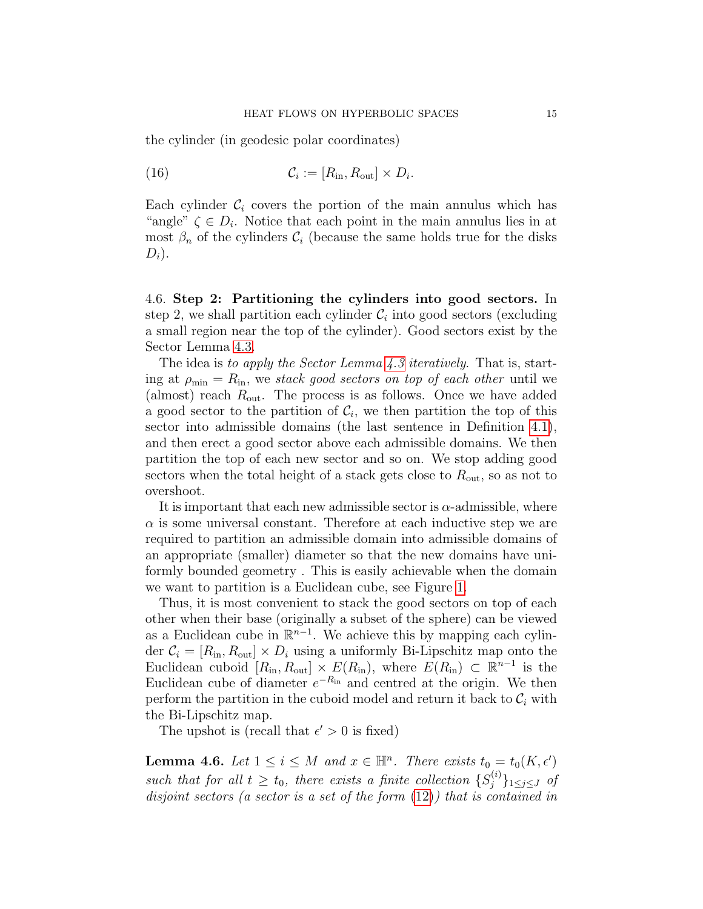the cylinder (in geodesic polar coordinates)

<span id="page-14-1"></span>(16) 
$$
\mathcal{C}_i := [R_{\text{in}}, R_{\text{out}}] \times D_i.
$$

Each cylinder  $\mathcal{C}_i$  covers the portion of the main annulus which has "angle"  $\zeta \in D_i$ . Notice that each point in the main annulus lies in at most  $\beta_n$  of the cylinders  $\mathcal{C}_i$  (because the same holds true for the disks  $D_i$ ).

4.6. Step 2: Partitioning the cylinders into good sectors. In step 2, we shall partition each cylinder  $\mathcal{C}_i$  into good sectors (excluding a small region near the top of the cylinder). Good sectors exist by the Sector Lemma [4.3.](#page-12-0)

The idea is to apply the Sector Lemma [4.3](#page-12-0) iteratively. That is, starting at  $\rho_{\min} = R_{\text{in}}$ , we stack good sectors on top of each other until we (almost) reach  $R_{\text{out}}$ . The process is as follows. Once we have added a good sector to the partition of  $\mathcal{C}_i$ , we then partition the top of this sector into admissible domains (the last sentence in Definition [4.1\)](#page-11-1), and then erect a good sector above each admissible domains. We then partition the top of each new sector and so on. We stop adding good sectors when the total height of a stack gets close to  $R_{\text{out}}$ , so as not to overshoot.

It is important that each new admissible sector is  $\alpha$ -admissible, where  $\alpha$  is some universal constant. Therefore at each inductive step we are required to partition an admissible domain into admissible domains of an appropriate (smaller) diameter so that the new domains have uniformly bounded geometry . This is easily achievable when the domain we want to partition is a Euclidean cube, see Figure [1.](#page-16-0)

Thus, it is most convenient to stack the good sectors on top of each other when their base (originally a subset of the sphere) can be viewed as a Euclidean cube in  $\mathbb{R}^{n-1}$ . We achieve this by mapping each cylinder  $C_i = [R_{\text{in}}, R_{\text{out}}] \times D_i$  using a uniformly Bi-Lipschitz map onto the Euclidean cuboid  $[R_{\rm in}, R_{\rm out}] \times E(R_{\rm in})$ , where  $E(R_{\rm in}) \subset \mathbb{R}^{n-1}$  is the Euclidean cube of diameter  $e^{-R_{\text{in}}}$  and centred at the origin. We then perform the partition in the cuboid model and return it back to  $\mathcal{C}_i$  with the Bi-Lipschitz map.

The upshot is (recall that  $\epsilon' > 0$  is fixed)

<span id="page-14-0"></span>**Lemma 4.6.** Let  $1 \leq i \leq M$  and  $x \in \mathbb{H}^n$ . There exists  $t_0 = t_0(K, \epsilon')$ such that for all  $t \geq t_0$ , there exists a finite collection  $\{S_i^{(i)}\}$  $\{j^{(i)}\}_{1\leq j\leq J}$  of disjoint sectors (a sector is a set of the form [\(12\)](#page-11-0)) that is contained in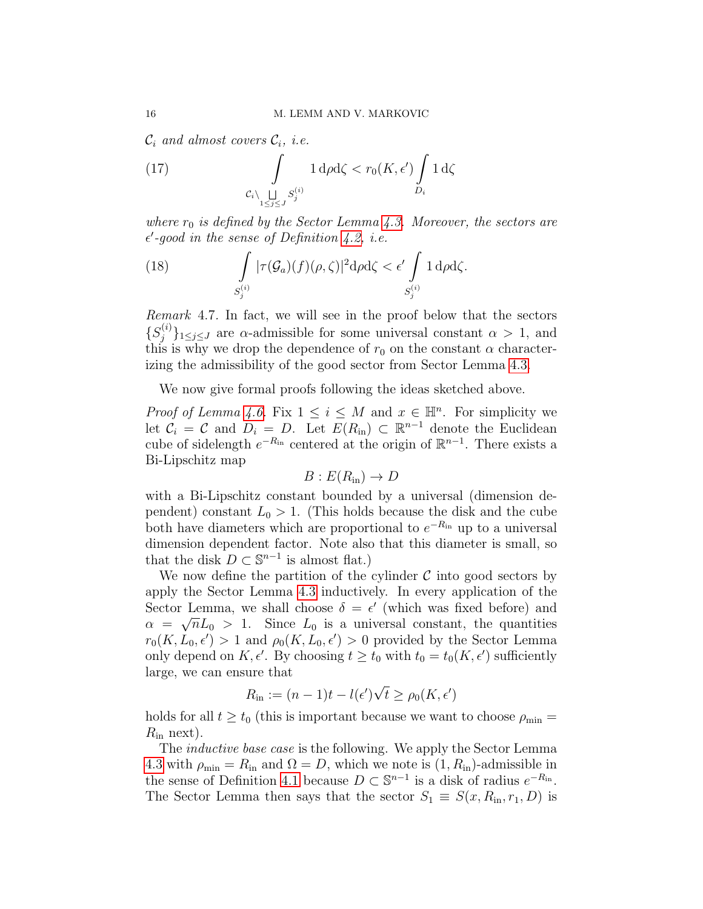$\mathcal{C}_i$  and almost covers  $\mathcal{C}_i$ , i.e.

<span id="page-15-1"></span>(17) 
$$
\int_{\substack{\mathcal{C}_i \setminus \bigsqcup_{1 \le j \le J} S_j^{(i)}}} 1 \, \mathrm{d}\rho \mathrm{d}\zeta < r_0(K, \epsilon') \int_{D_i} 1 \, \mathrm{d}\zeta
$$

where  $r_0$  is defined by the Sector Lemma [4.3.](#page-12-0) Moreover, the sectors are  $\epsilon'$ -good in the sense of Definition [4.2,](#page-12-1) i.e.

<span id="page-15-0"></span>(18) 
$$
\int_{S_j^{(i)}} |\tau(\mathcal{G}_a)(f)(\rho,\zeta)|^2 d\rho d\zeta < \epsilon' \int_{S_j^{(i)}} 1 d\rho d\zeta.
$$

Remark 4.7. In fact, we will see in the proof below that the sectors  $\{S_i^{(i)}\}$  $\{a^{(i)}\}_{1 \leq j \leq J}$  are  $\alpha$ -admissible for some universal constant  $\alpha > 1$ , and this is why we drop the dependence of  $r_0$  on the constant  $\alpha$  characterizing the admissibility of the good sector from Sector Lemma [4.3.](#page-12-0)

We now give formal proofs following the ideas sketched above.

*Proof of Lemma [4.6.](#page-14-0)* Fix  $1 \leq i \leq M$  and  $x \in \mathbb{H}^n$ . For simplicity we let  $\mathcal{C}_i = \mathcal{C}$  and  $D_i = D$ . Let  $E(R_{\text{in}}) \subset \mathbb{R}^{n-1}$  denote the Euclidean cube of sidelength  $e^{-R_{\text{in}}}$  centered at the origin of  $\mathbb{R}^{n-1}$ . There exists a Bi-Lipschitz map

$$
B: E(R_{\rm in}) \to D
$$

with a Bi-Lipschitz constant bounded by a universal (dimension dependent) constant  $L_0 > 1$ . (This holds because the disk and the cube both have diameters which are proportional to  $e^{-R_{in}}$  up to a universal dimension dependent factor. Note also that this diameter is small, so that the disk  $D \subset \mathbb{S}^{n-1}$  is almost flat.)

We now define the partition of the cylinder  $\mathcal C$  into good sectors by apply the Sector Lemma [4.3](#page-12-0) inductively. In every application of the Sector Lemma, we shall choose  $\delta = \epsilon'$  (which was fixed before) and  $\alpha = \sqrt{n}L_0 > 1$ . Since  $L_0$  is a universal constant, the quantities  $r_0(K, L_0, \epsilon') > 1$  and  $\rho_0(K, L_0, \epsilon') > 0$  provided by the Sector Lemma only depend on  $K, \epsilon'$ . By choosing  $t \geq t_0$  with  $t_0 = t_0(K, \epsilon')$  sufficiently large, we can ensure that √

$$
R_{\rm in} := (n-1)t - l(\epsilon')\sqrt{t} \ge \rho_0(K, \epsilon')
$$

holds for all  $t \geq t_0$  (this is important because we want to choose  $\rho_{\min} =$  $R_{\rm in}$  next).

The *inductive base case* is the following. We apply the Sector Lemma [4.3](#page-12-0) with  $\rho_{\min} = R_{\text{in}}$  and  $\Omega = D$ , which we note is  $(1, R_{\text{in}})$ -admissible in the sense of Definition [4.1](#page-11-1) because  $D \subset \mathbb{S}^{n-1}$  is a disk of radius  $e^{-R_{\text{in}}}$ . The Sector Lemma then says that the sector  $S_1 \equiv S(x, R_{\text{in}}, r_1, D)$  is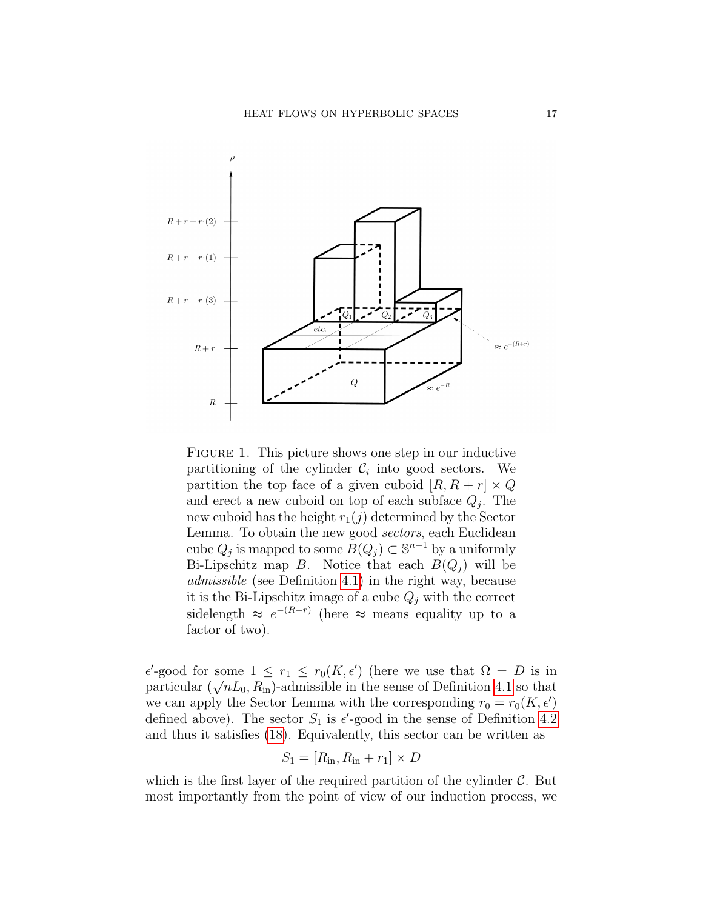

<span id="page-16-0"></span>FIGURE 1. This picture shows one step in our inductive partitioning of the cylinder  $\mathcal{C}_i$  into good sectors. We partition the top face of a given cuboid  $[R, R + r] \times Q$ and erect a new cuboid on top of each subface  $Q_j$ . The new cuboid has the height  $r_1(j)$  determined by the Sector Lemma. To obtain the new good sectors, each Euclidean cube  $Q_j$  is mapped to some  $\widetilde{B}(Q_j) \subset \mathbb{S}^{n-1}$  by a uniformly Bi-Lipschitz map B. Notice that each  $B(Q_i)$  will be admissible (see Definition [4.1\)](#page-11-1) in the right way, because it is the Bi-Lipschitz image of a cube  $Q_i$  with the correct sidelength  $\approx e^{-(R+r)}$  (here  $\approx$  means equality up to a factor of two).

 $\epsilon'$ -good for some  $1 \leq r_1 \leq r_0(K, \epsilon')$  (here we use that  $\Omega = D$  is in  $\epsilon$ -good for some  $1 \leq r_1 \leq r_0(\kappa, \epsilon)$  (here we use that  $\Omega = D$  is in particular  $(\sqrt{n}L_0, R_{\text{in}})$ -admissible in the sense of Definition [4.1](#page-11-1) so that we can apply the Sector Lemma with the corresponding  $r_0 = r_0(K, \epsilon')$ defined above). The sector  $S_1$  is  $\epsilon'$ -good in the sense of Definition [4.2](#page-12-1) and thus it satisfies [\(18\)](#page-15-0). Equivalently, this sector can be written as

$$
S_1 = [R_{\rm in}, R_{\rm in} + r_1] \times D
$$

which is the first layer of the required partition of the cylinder  $\mathcal{C}$ . But most importantly from the point of view of our induction process, we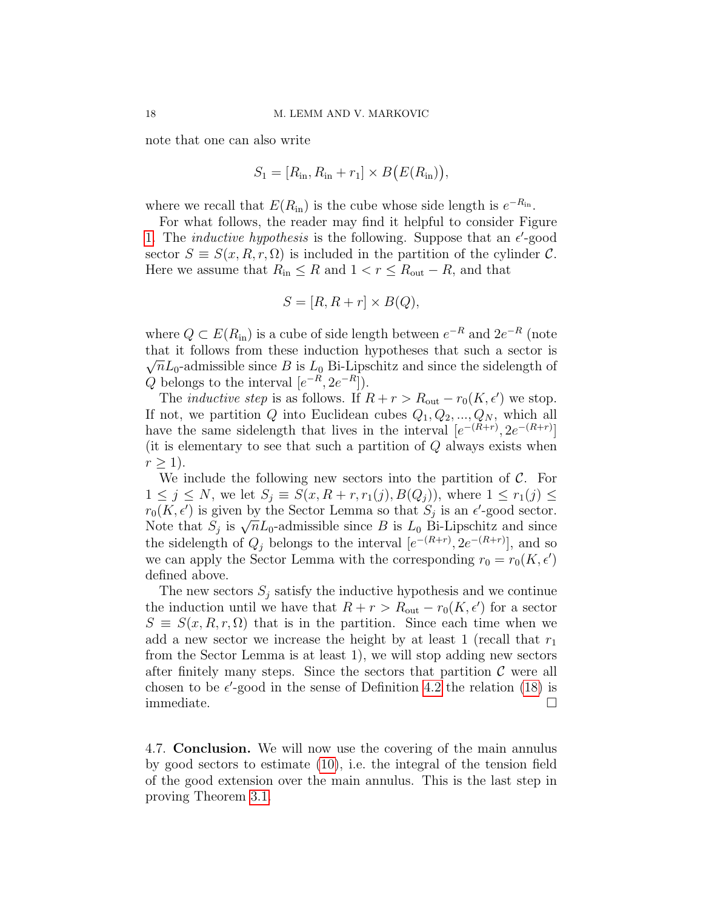note that one can also write

$$
S_1 = [R_{\rm in}, R_{\rm in} + r_1] \times B(E(R_{\rm in})),
$$

where we recall that  $E(R_{\text{in}})$  is the cube whose side length is  $e^{-R_{\text{in}}}$ .

For what follows, the reader may find it helpful to consider Figure [1.](#page-16-0) The *inductive hypothesis* is the following. Suppose that an  $\epsilon'$ -good sector  $S \equiv S(x, R, r, \Omega)$  is included in the partition of the cylinder C. Here we assume that  $R_{\text{in}} \leq R$  and  $1 < r \leq R_{\text{out}} - R$ , and that

$$
S = [R, R + r] \times B(Q),
$$

where  $Q \subset E(R_{\text{in}})$  is a cube of side length between  $e^{-R}$  and  $2e^{-R}$  (note that it follows from these induction hypotheses that such a sector is  $\overline{C}$ .  $\sqrt{n}L_0$ -admissible since B is  $L_0$  Bi-Lipschitz and since the sidelength of Q belongs to the interval  $[e^{-R}, 2e^{-R}]$ .

The *inductive step* is as follows. If  $R + r > R_{\text{out}} - r_0(K, \epsilon')$  we stop. If not, we partition Q into Euclidean cubes  $Q_1, Q_2, ..., Q_N$ , which all have the same sidelength that lives in the interval  $[e^{-(R+r)}, 2e^{-(R+r)}]$ (it is elementary to see that such a partition of  $Q$  always exists when  $r > 1$ ).

We include the following new sectors into the partition of  $\mathcal{C}$ . For  $1 \leq j \leq N$ , we let  $S_j \equiv S(x, R+r, r_1(j), B(Q_j))$ , where  $1 \leq r_1(j) \leq$  $r_0(K, \epsilon')$  is given by the Sector Lemma so that  $S_j$  is an  $\epsilon'$ -good sector.  $r_0(\Lambda, \epsilon)$  is given by the sector Lemma so that  $S_j$  is an  $\epsilon$ -good sector.<br>Note that  $S_j$  is  $\sqrt{n}L_0$ -admissible since B is  $L_0$  Bi-Lipschitz and since the sidelength of  $Q_j$  belongs to the interval  $[e^{-(R+r)}, 2e^{-(R+r)}]$ , and so we can apply the Sector Lemma with the corresponding  $r_0 = r_0(K, \epsilon')$ defined above.

The new sectors  $S_i$  satisfy the inductive hypothesis and we continue the induction until we have that  $R + r > R_{\text{out}} - r_0(K, \epsilon')$  for a sector  $S \equiv S(x, R, r, \Omega)$  that is in the partition. Since each time when we add a new sector we increase the height by at least 1 (recall that  $r_1$ ) from the Sector Lemma is at least 1), we will stop adding new sectors after finitely many steps. Since the sectors that partition  $\mathcal C$  were all chosen to be  $\epsilon'$ -good in the sense of Definition [4.2](#page-12-1) the relation [\(18\)](#page-15-0) is immediate.

4.7. Conclusion. We will now use the covering of the main annulus by good sectors to estimate [\(10\)](#page-11-2), i.e. the integral of the tension field of the good extension over the main annulus. This is the last step in proving Theorem [3.1.](#page-6-1)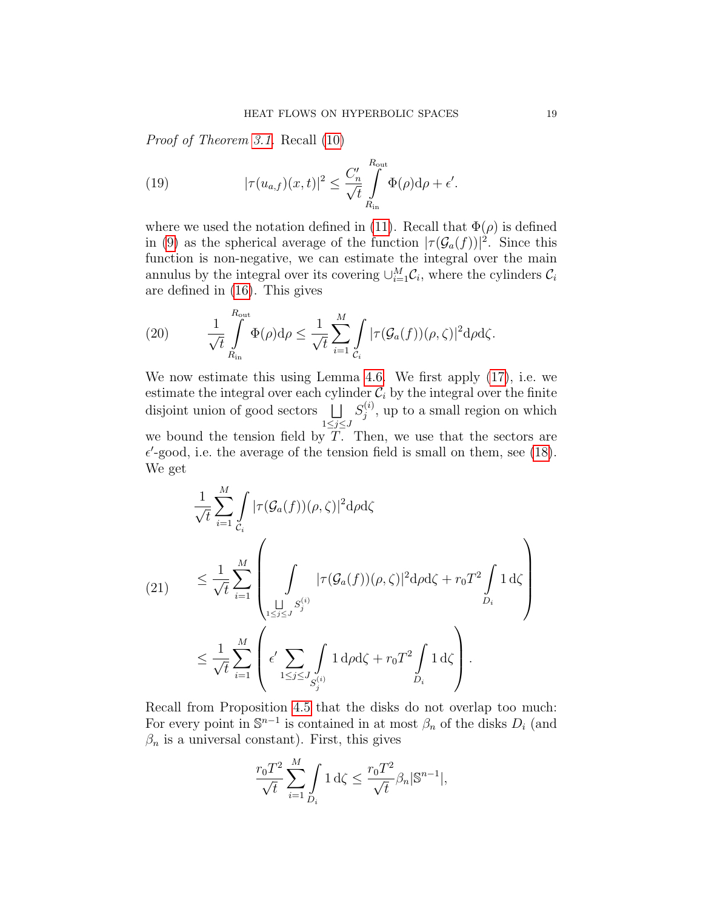Proof of Theorem [3.1.](#page-6-1) Recall [\(10\)](#page-11-2)

<span id="page-18-0"></span>(19) 
$$
|\tau(u_{a,f})(x,t)|^2 \leq \frac{C'_n}{\sqrt{t}} \int_{R_{\text{in}}}^{R_{\text{out}}} \Phi(\rho) d\rho + \epsilon'.
$$

where we used the notation defined in [\(11\)](#page-11-3). Recall that  $\Phi(\rho)$  is defined in [\(9\)](#page-10-1) as the spherical average of the function  $|\tau(\mathcal{G}_a(f))|^2$ . Since this function is non-negative, we can estimate the integral over the main annulus by the integral over its covering  $\cup_{i=1}^{M} C_i$ , where the cylinders  $C_i$ are defined in [\(16\)](#page-14-1). This gives

(20) 
$$
\frac{1}{\sqrt{t}} \int_{R_{\text{in}}}^{R_{\text{out}}} \Phi(\rho) d\rho \leq \frac{1}{\sqrt{t}} \sum_{i=1}^{M} \int_{C_i} |\tau(\mathcal{G}_a(f))(\rho, \zeta)|^2 d\rho d\zeta.
$$

We now estimate this using Lemma [4.6.](#page-14-0) We first apply [\(17\)](#page-15-1), i.e. we estimate the integral over each cylinder  $C_i$  by the integral over the finite disjoint union of good sectors  $\Box$  $1\leq j\leq J$  $S_i^{(i)}$  $j^{(i)}$ , up to a small region on which we bound the tension field by  $T$ . Then, we use that the sectors are  $\epsilon'$ -good, i.e. the average of the tension field is small on them, see [\(18\)](#page-15-0). We get

<span id="page-18-1"></span>
$$
\frac{1}{\sqrt{t}} \sum_{i=1}^{M} \int_{C_i} |\tau(\mathcal{G}_a(f))(\rho,\zeta)|^2 d\rho d\zeta
$$
\n
$$
(21) \leq \frac{1}{\sqrt{t}} \sum_{i=1}^{M} \left( \int_{\substack{1 \leq j \leq J}} |\tau(\mathcal{G}_a(f))(\rho,\zeta)|^2 d\rho d\zeta + r_0 T^2 \int_{D_i} 1 d\zeta \right)
$$
\n
$$
\leq \frac{1}{\sqrt{t}} \sum_{i=1}^{M} \left( \epsilon' \sum_{1 \leq j \leq J} \int_{S_j^{(i)}} 1 d\rho d\zeta + r_0 T^2 \int_{D_i} 1 d\zeta \right).
$$

Recall from Proposition [4.5](#page-13-0) that the disks do not overlap too much: For every point in  $\mathbb{S}^{n-1}$  is contained in at most  $\beta_n$  of the disks  $D_i$  (and  $\beta_n$  is a universal constant). First, this gives

$$
\frac{r_0 T^2}{\sqrt{t}} \sum_{i=1}^M \int_{D_i} 1 \, d\zeta \le \frac{r_0 T^2}{\sqrt{t}} \beta_n |\mathbb{S}^{n-1}|,
$$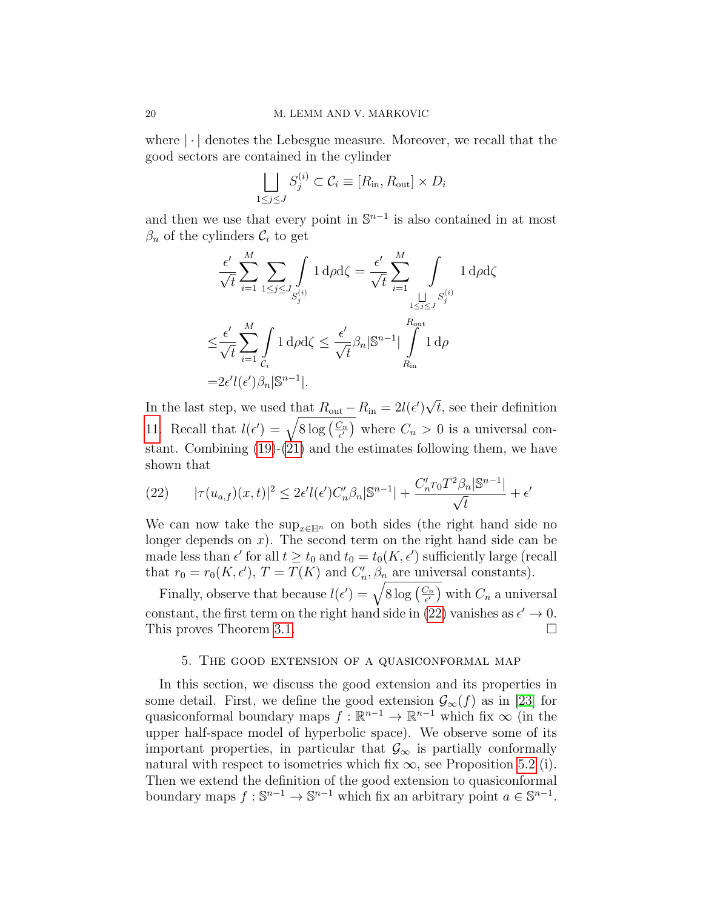where  $|\cdot|$  denotes the Lebesgue measure. Moreover, we recall that the good sectors are contained in the cylinder

$$
\bigsqcup_{1 \le j \le J} S_j^{(i)} \subset \mathcal{C}_i \equiv [R_{\text{in}}, R_{\text{out}}] \times D_i
$$

and then we use that every point in  $\mathbb{S}^{n-1}$  is also contained in at most  $\beta_n$  of the cylinders  $\mathcal{C}_i$  to get

$$
\frac{\epsilon'}{\sqrt{t}} \sum_{i=1}^{M} \sum_{1 \leq j \leq J} \int_{S_j^{(i)}} 1 \, d\rho d\zeta = \frac{\epsilon'}{\sqrt{t}} \sum_{i=1}^{M} \int_{S_j^{(i)}} 1 \, d\rho d\zeta
$$
\n
$$
\leq \frac{\epsilon'}{\sqrt{t}} \sum_{i=1}^{M} \int_{C_i} 1 \, d\rho d\zeta \leq \frac{\epsilon'}{\sqrt{t}} \beta_n |\mathbb{S}^{n-1}| \int_{R_{\text{in}}}^{R_{\text{out}}} 1 \, d\rho
$$
\n
$$
= 2\epsilon' l(\epsilon') \beta_n |\mathbb{S}^{n-1}|.
$$

In the last step, we used that  $R_{\text{out}} - R_{\text{in}} = 2l(\epsilon')$ √ t, see their definition [11.](#page-11-3) Recall that  $l(\epsilon') = \sqrt{8 \log \left( \frac{C_n}{\epsilon'} \right)}$  $\left(\frac{C_n}{\epsilon'}\right)$  where  $C_n > 0$  is a universal constant. Combining [\(19\)](#page-18-0)-[\(21\)](#page-18-1) and the estimates following them, we have shown that

<span id="page-19-1"></span>(22) 
$$
|\tau(u_{a,f})(x,t)|^2 \le 2\epsilon' l(\epsilon')C'_n \beta_n |\mathbb{S}^{n-1}| + \frac{C'_n r_0 T^2 \beta_n |\mathbb{S}^{n-1}|}{\sqrt{t}} + \epsilon'
$$

We can now take the sup<sub>x∈Hn</sub> on both sides (the right hand side no longer depends on  $x$ ). The second term on the right hand side can be made less than  $\epsilon'$  for all  $t \geq t_0$  and  $t_0 = t_0(K, \epsilon')$  sufficiently large (recall that  $r_0 = r_0(K, \epsilon'), T = T(K)$  and  $C'_n, \beta_n$  are universal constants).

Finally, observe that because  $l(\epsilon') = \sqrt{8 \log \left( \frac{C_n}{\epsilon'} \right)}$  $(\frac{C_n}{\epsilon'})$  with  $C_n$  a universal constant, the first term on the right hand side in [\(22\)](#page-19-1) vanishes as  $\epsilon' \to 0$ . This proves Theorem [3.1.](#page-6-1)

#### 5. The good extension of a quasiconformal map

<span id="page-19-0"></span>In this section, we discuss the good extension and its properties in some detail. First, we define the good extension  $\mathcal{G}_{\infty}(f)$  as in [\[23\]](#page-36-11) for quasiconformal boundary maps  $f : \mathbb{R}^{n-1} \to \mathbb{R}^{n-1}$  which fix  $\infty$  (in the upper half-space model of hyperbolic space). We observe some of its important properties, in particular that  $\mathcal{G}_{\infty}$  is partially conformally natural with respect to isometries which fix  $\infty$ , see Proposition [5.2](#page-21-1) (i). Then we extend the definition of the good extension to quasiconformal boundary maps  $f: \mathbb{S}^{n-1} \to \mathbb{S}^{n-1}$  which fix an arbitrary point  $a \in \mathbb{S}^{n-1}$ .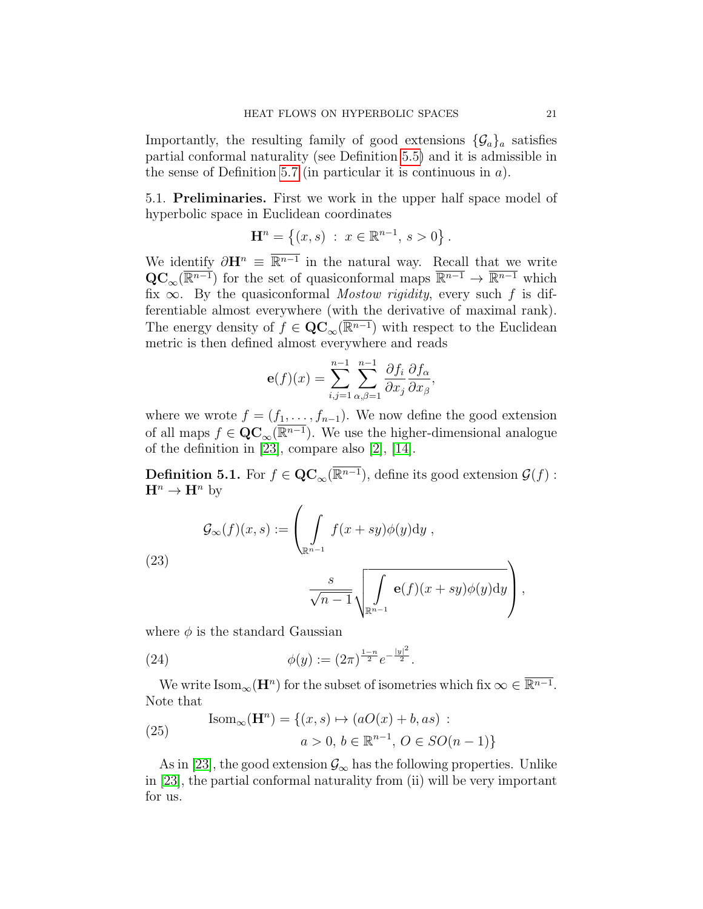Importantly, the resulting family of good extensions  $\{\mathcal{G}_a\}_a$  satisfies partial conformal naturality (see Definition [5.5\)](#page-22-1) and it is admissible in the sense of Definition [5.7](#page-23-0) (in particular it is continuous in  $a$ ).

5.1. Preliminaries. First we work in the upper half space model of hyperbolic space in Euclidean coordinates

$$
\mathbf{H}^{n} = \{ (x, s) : x \in \mathbb{R}^{n-1}, s > 0 \}.
$$

We identify  $\partial \mathbf{H}^n \equiv \overline{\mathbb{R}^{n-1}}$  in the natural way. Recall that we write  $\mathbf{QC}_{\infty}(\overline{\mathbb{R}^{n-1}})$  for the set of quasiconformal maps  $\overline{\mathbb{R}^{n-1}} \to \overline{\mathbb{R}^{n-1}}$  which fix  $\infty$ . By the quasiconformal *Mostow rigidity*, every such f is differentiable almost everywhere (with the derivative of maximal rank). The energy density of  $f \in \mathbf{QC}_{\infty}(\overline{\mathbb{R}^{n-1}})$  with respect to the Euclidean metric is then defined almost everywhere and reads

$$
\mathbf{e}(f)(x) = \sum_{i,j=1}^{n-1} \sum_{\alpha,\beta=1}^{n-1} \frac{\partial f_i}{\partial x_j} \frac{\partial f_\alpha}{\partial x_\beta},
$$

where we wrote  $f = (f_1, \ldots, f_{n-1})$ . We now define the good extension of all maps  $f \in \mathbf{QC}_{\infty}(\overline{\mathbb{R}^{n-1}})$ . We use the higher-dimensional analogue of the definition in [\[23\]](#page-36-11), compare also [\[2\]](#page-35-8), [\[14\]](#page-35-9).

**Definition 5.1.** For  $f \in \mathbf{QC}_{\infty}(\overline{\mathbb{R}^{n-1}})$ , define its good extension  $\mathcal{G}(f)$ :  $\mathbf{H}^n \to \mathbf{H}^n$  by

<span id="page-20-0"></span>
$$
\mathcal{G}_{\infty}(f)(x,s) := \left(\int\limits_{\mathbb{R}^{n-1}} f(x+sy)\phi(y)dy\right),\,
$$

(23)

$$
\frac{s}{\sqrt{n-1}}\sqrt{\int_{\mathbb{R}^{n-1}}\mathbf{e}(f)(x+sy)\phi(y)dy}\Bigg),\,
$$

where  $\phi$  is the standard Gaussian

(24) 
$$
\phi(y) := (2\pi)^{\frac{1-n}{2}} e^{-\frac{|y|^2}{2}}.
$$

We write  $\text{Isom}_{\infty}(\mathbf{H}^n)$  for the subset of isometries which fix  $\infty \in \overline{\mathbb{R}^{n-1}}$ . Note that

<span id="page-20-1"></span>(25) 
$$
\text{Isom}_{\infty}(\mathbf{H}^{n}) = \{(x, s) \mapsto (aO(x) + b, as) : a > 0, b \in \mathbb{R}^{n-1}, O \in SO(n-1)\}
$$

As in [\[23\]](#page-36-11), the good extension  $\mathcal{G}_{\infty}$  has the following properties. Unlike in [\[23\]](#page-36-11), the partial conformal naturality from (ii) will be very important for us.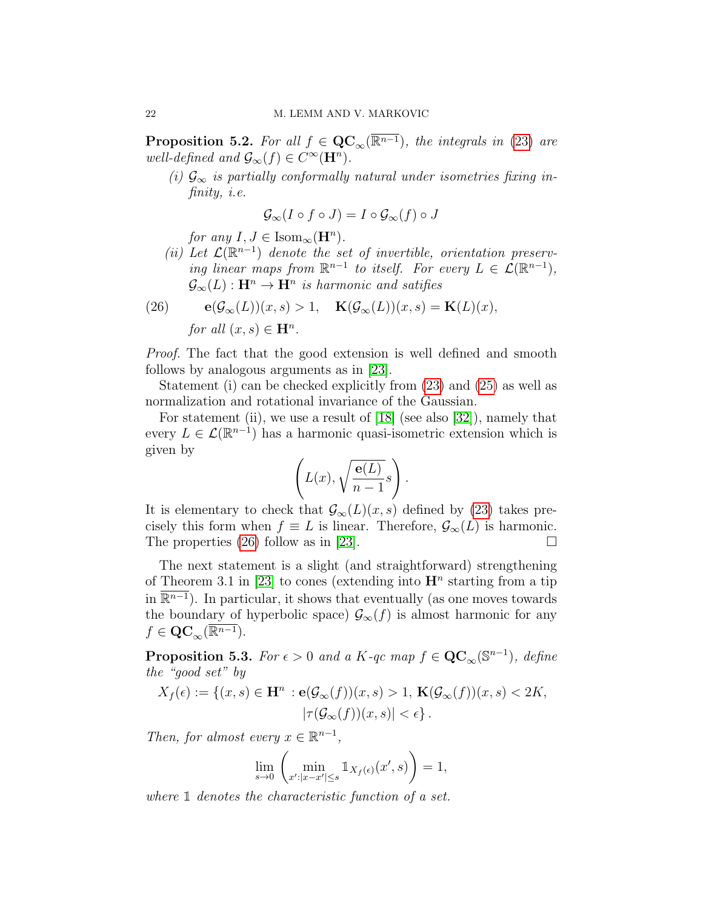<span id="page-21-1"></span>**Proposition 5.2.** For all  $f \in \mathbf{QC}_{\infty}(\overline{\mathbb{R}^{n-1}})$ , the integrals in [\(23\)](#page-20-0) are well-defined and  $\mathcal{G}_{\infty}(f) \in C^{\infty}(\mathbf{H}^n)$ .

(i)  $\mathcal{G}_{\infty}$  is partially conformally natural under isometries fixing infinity, i.e.

$$
\mathcal{G}_{\infty}(I\circ f\circ J)=I\circ\mathcal{G}_{\infty}(f)\circ J
$$

for any  $I, J \in \text{Isom}_{\infty}(\mathbf{H}^n)$ .

(ii) Let  $\mathcal{L}(\mathbb{R}^{n-1})$  denote the set of invertible, orientation preserving linear maps from  $\mathbb{R}^{n-1}$  to itself. For every  $L \in \mathcal{L}(\mathbb{R}^{n-1}),$  $\mathcal{G}_{\infty}(L) : \mathbf{H}^n \to \mathbf{H}^n$  is harmonic and satifies

<span id="page-21-2"></span>(26) 
$$
\mathbf{e}(\mathcal{G}_{\infty}(L))(x,s) > 1, \quad \mathbf{K}(\mathcal{G}_{\infty}(L))(x,s) = \mathbf{K}(L)(x),
$$
  
for all  $(x,s) \in \mathbf{H}^n$ .

Proof. The fact that the good extension is well defined and smooth follows by analogous arguments as in [\[23\]](#page-36-11).

Statement (i) can be checked explicitly from [\(23\)](#page-20-0) and [\(25\)](#page-20-1) as well as normalization and rotational invariance of the Gaussian.

For statement (ii), we use a result of [\[18\]](#page-36-9) (see also [\[32\]](#page-36-10)), namely that every  $L \in \mathcal{L}(\mathbb{R}^{n-1})$  has a harmonic quasi-isometric extension which is given by

$$
\left(L(x), \sqrt{\frac{\mathbf{e}(L)}{n-1}}s\right).
$$

It is elementary to check that  $\mathcal{G}_{\infty}(L)(x, s)$  defined by [\(23\)](#page-20-0) takes precisely this form when  $f \equiv L$  is linear. Therefore,  $\mathcal{G}_{\infty}(L)$  is harmonic. The properties [\(26\)](#page-21-2) follow as in [\[23\]](#page-36-11).  $\Box$ 

The next statement is a slight (and straightforward) strengthening of Theorem 3.1 in [\[23\]](#page-36-11) to cones (extending into  $\mathbf{H}^n$  starting from a tip in  $\overline{\mathbb{R}^{n-1}}$ ). In particular, it shows that eventually (as one moves towards the boundary of hyperbolic space)  $\mathcal{G}_{\infty}(f)$  is almost harmonic for any  $f \in \mathrm{QC}_\infty(\overline{\mathbb{R}^{n-1}}).$ 

<span id="page-21-0"></span>**Proposition 5.3.** For  $\epsilon > 0$  and a K-qc map  $f \in \mathbf{QC}_{\infty}(\mathbb{S}^{n-1})$ , define the "good set" by

$$
X_f(\epsilon) := \{ (x, s) \in \mathbf{H}^n : \mathbf{e}(\mathcal{G}_{\infty}(f))(x, s) > 1, \ \mathbf{K}(\mathcal{G}_{\infty}(f))(x, s) < 2K, |\tau(\mathcal{G}_{\infty}(f))(x, s)| < \epsilon \}.
$$

Then, for almost every  $x \in \mathbb{R}^{n-1}$ ,

$$
\lim_{s \to 0} \left( \min_{x': |x - x'| \le s} \mathbb{1}_{X_f(\epsilon)}(x', s) \right) = 1,
$$

where  $\mathbbm{1}$  denotes the characteristic function of a set.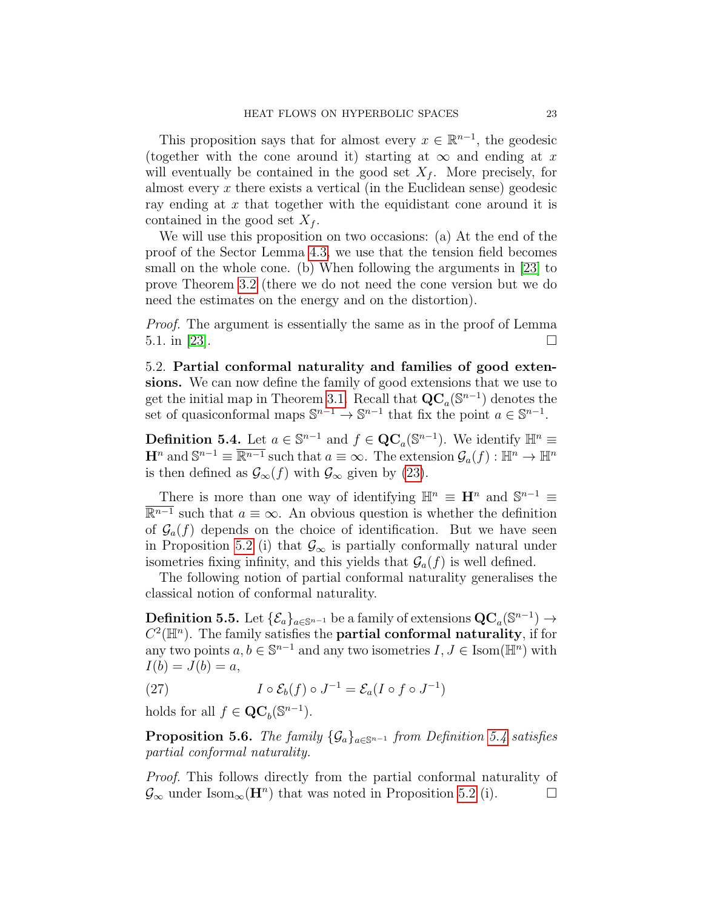This proposition says that for almost every  $x \in \mathbb{R}^{n-1}$ , the geodesic (together with the cone around it) starting at  $\infty$  and ending at x will eventually be contained in the good set  $X_f$ . More precisely, for almost every  $x$  there exists a vertical (in the Euclidean sense) geodesic ray ending at  $x$  that together with the equidistant cone around it is contained in the good set  $X_f$ .

We will use this proposition on two occasions: (a) At the end of the proof of the Sector Lemma [4.3,](#page-12-0) we use that the tension field becomes small on the whole cone. (b) When following the arguments in [\[23\]](#page-36-11) to prove Theorem [3.2](#page-7-0) (there we do not need the cone version but we do need the estimates on the energy and on the distortion).

Proof. The argument is essentially the same as in the proof of Lemma 5.1. in [\[23\]](#page-36-11).

5.2. Partial conformal naturality and families of good extensions. We can now define the family of good extensions that we use to get the initial map in Theorem [3.1.](#page-6-1) Recall that  $\mathbf{QC}_a(\mathbb{S}^{n-1})$  denotes the set of quasiconformal maps  $\mathbb{S}^{n-1} \to \mathbb{S}^{n-1}$  that fix the point  $a \in \mathbb{S}^{n-1}$ .

<span id="page-22-0"></span>**Definition 5.4.** Let  $a \in \mathbb{S}^{n-1}$  and  $f \in \mathbf{QC}_a(\mathbb{S}^{n-1})$ . We identify  $\mathbb{H}^n \equiv$  $\mathbf{H}^n$  and  $\mathbb{S}^{n-1} \equiv \overline{\mathbb{R}^{n-1}}$  such that  $a \equiv \infty$ . The extension  $\mathcal{G}_a(f) : \mathbb{H}^n \to \mathbb{H}^n$ is then defined as  $\mathcal{G}_{\infty}(f)$  with  $\mathcal{G}_{\infty}$  given by [\(23\)](#page-20-0).

There is more than one way of identifying  $\mathbb{H}^n \equiv \mathbf{H}^n$  and  $\mathbb{S}^{n-1} \equiv$  $\overline{\mathbb{R}^{n-1}}$  such that  $a \equiv \infty$ . An obvious question is whether the definition of  $\mathcal{G}_a(f)$  depends on the choice of identification. But we have seen in Proposition [5.2](#page-21-1) (i) that  $\mathcal{G}_{\infty}$  is partially conformally natural under isometries fixing infinity, and this yields that  $\mathcal{G}_a(f)$  is well defined.

The following notion of partial conformal naturality generalises the classical notion of conformal naturality.

<span id="page-22-1"></span>Definition 5.5. Let  $\{\mathcal{E}_a\}_{a \in \mathbb{S}^{n-1}}$  be a family of extensions  $\mathbf{QC}_a(\mathbb{S}^{n-1}) \to$  $C^2(\mathbb{H}^n)$ . The family satisfies the **partial conformal naturality**, if for any two points  $a, b \in \mathbb{S}^{n-1}$  and any two isometries  $I, J \in \text{Isom}(\mathbb{H}^n)$  with  $I(b) = J(b) = a,$ 

(27) 
$$
I \circ \mathcal{E}_b(f) \circ J^{-1} = \mathcal{E}_a(I \circ f \circ J^{-1})
$$

holds for all  $f \in \mathbf{QC}_b(\mathbb{S}^{n-1})$ .

**Proposition 5.6.** The family  $\{\mathcal{G}_a\}_{a \in \mathbb{S}^{n-1}}$  from Definition [5.4](#page-22-0) satisfies partial conformal naturality.

Proof. This follows directly from the partial conformal naturality of  $\mathcal{G}_{\infty}$  under Isom<sub>∞</sub>( $\mathbf{H}^{n}$ ) that was noted in Proposition [5.2](#page-21-1) (i).  $\Box$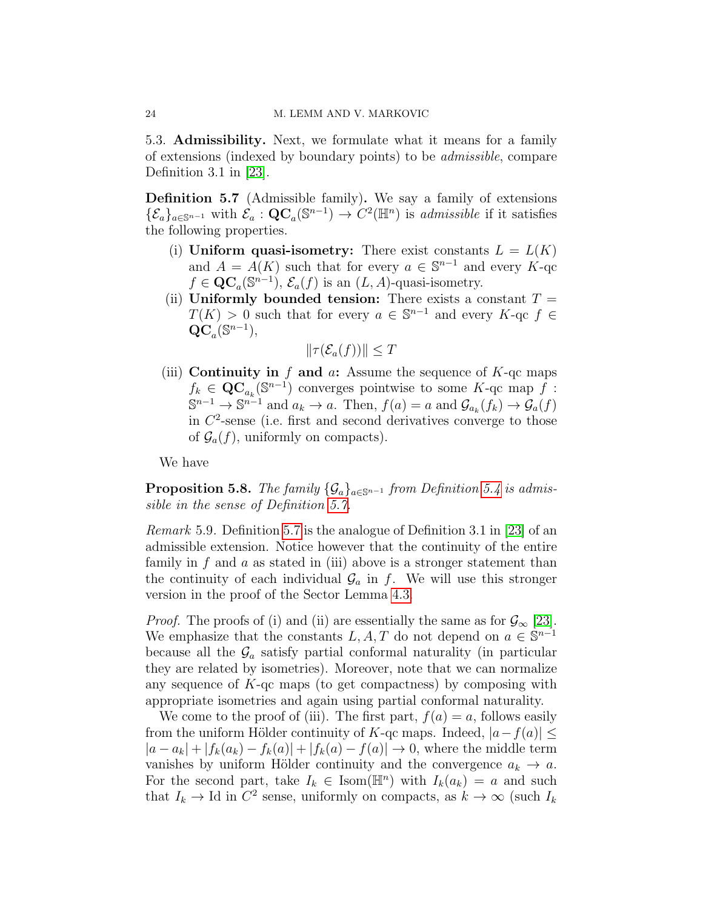5.3. Admissibility. Next, we formulate what it means for a family of extensions (indexed by boundary points) to be admissible, compare Definition 3.1 in  $|23|$ .

<span id="page-23-0"></span>Definition 5.7 (Admissible family). We say a family of extensions  $\{\mathcal{E}_a\}_{a\in\mathbb{S}^{n-1}}$  with  $\mathcal{E}_a$ :  $\mathbf{QC}_a(\mathbb{S}^{n-1}) \to C^2(\mathbb{H}^n)$  is *admissible* if it satisfies the following properties.

- (i) Uniform quasi-isometry: There exist constants  $L = L(K)$ and  $A = A(K)$  such that for every  $a \in \mathbb{S}^{n-1}$  and every  $K$ -qc  $f \in \mathbf{QC}_a(\mathbb{S}^{n-1}), \mathcal{E}_a(f)$  is an  $(L, A)$ -quasi-isometry.
- (ii) Uniformly bounded tension: There exists a constant  $T =$  $T(K) > 0$  such that for every  $a \in \mathbb{S}^{n-1}$  and every  $K$ -qc  $f \in$  $\operatorname{\overline{QC}}_a(\mathbb S^{n-1}),$

$$
\|\tau(\mathcal{E}_a(f))\| \le T
$$

(iii) Continuity in f and  $a$ : Assume the sequence of  $K$ -qc maps  $f_k \in \mathbf{QC}_{a_k}(\mathbb{S}^{n-1})$  converges pointwise to some  $K$ -qc map  $\tilde{f}$ :  $\mathbb{S}^{n-1} \to \mathbb{S}^{n-1}$  and  $a_k \to a$ . Then,  $f(a) = a$  and  $\mathcal{G}_{a_k}(f_k) \to \mathcal{G}_a(f)$ in  $C<sup>2</sup>$ -sense (i.e. first and second derivatives converge to those of  $\mathcal{G}_a(f)$ , uniformly on compacts).

We have

<span id="page-23-1"></span>**Proposition 5.8.** The family  $\{\mathcal{G}_a\}_{a \in \mathbb{S}^{n-1}}$  from Definition [5.4](#page-22-0) is admissible in the sense of Definition [5.7.](#page-23-0)

Remark 5.9. Definition [5.7](#page-23-0) is the analogue of Definition 3.1 in [\[23\]](#page-36-11) of an admissible extension. Notice however that the continuity of the entire family in f and a as stated in (iii) above is a stronger statement than the continuity of each individual  $\mathcal{G}_a$  in f. We will use this stronger version in the proof of the Sector Lemma [4.3.](#page-12-0)

*Proof.* The proofs of (i) and (ii) are essentially the same as for  $\mathcal{G}_{\infty}$  [\[23\]](#page-36-11). We emphasize that the constants L, A, T do not depend on  $a \in \mathbb{S}^{n-1}$ because all the  $\mathcal{G}_a$  satisfy partial conformal naturality (in particular they are related by isometries). Moreover, note that we can normalize any sequence of  $K$ -qc maps (to get compactness) by composing with appropriate isometries and again using partial conformal naturality.

We come to the proof of (iii). The first part,  $f(a) = a$ , follows easily from the uniform Hölder continuity of K-qc maps. Indeed,  $|a - f(a)| \leq$  $|a - a_k| + |f_k(a_k) - f_k(a)| + |f_k(a) - f(a)| \rightarrow 0$ , where the middle term vanishes by uniform Hölder continuity and the convergence  $a_k \to a$ . For the second part, take  $I_k \in \text{Isom}(\mathbb{H}^n)$  with  $I_k(a_k) = a$  and such that  $I_k \to \text{Id}$  in  $C^2$  sense, uniformly on compacts, as  $k \to \infty$  (such  $I_k$ )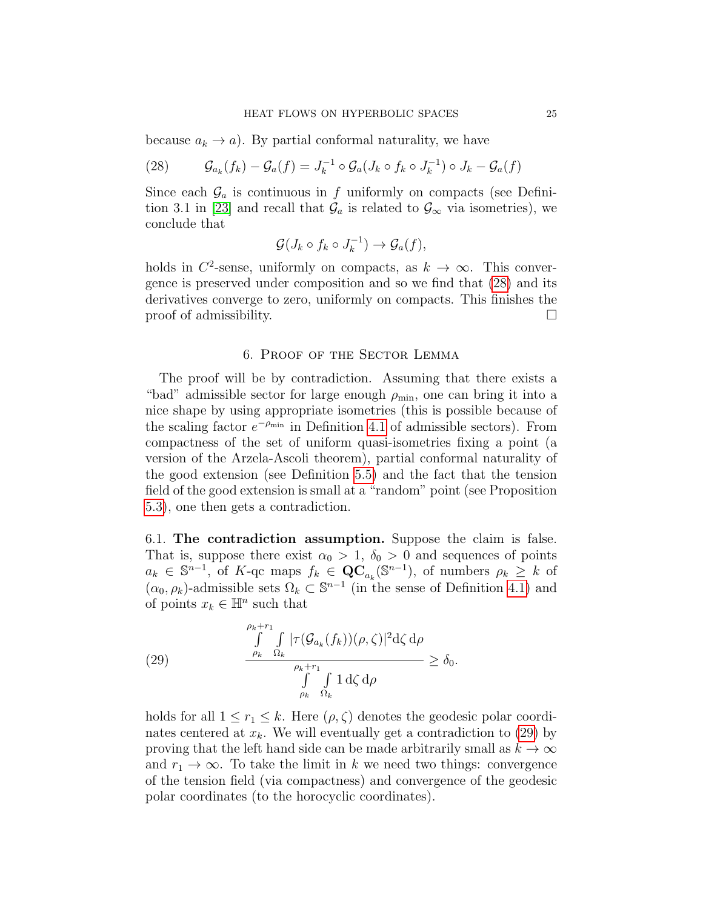because  $a_k \to a$ ). By partial conformal naturality, we have

<span id="page-24-1"></span>(28) 
$$
\mathcal{G}_{a_k}(f_k) - \mathcal{G}_a(f) = J_k^{-1} \circ \mathcal{G}_a(J_k \circ f_k \circ J_k^{-1}) \circ J_k - \mathcal{G}_a(f)
$$

Since each  $\mathcal{G}_a$  is continuous in f uniformly on compacts (see Defini-tion 3.1 in [\[23\]](#page-36-11) and recall that  $\mathcal{G}_a$  is related to  $\mathcal{G}_{\infty}$  via isometries), we conclude that

$$
\mathcal{G}(J_k \circ f_k \circ J_k^{-1}) \to \mathcal{G}_a(f),
$$

holds in  $C^2$ -sense, uniformly on compacts, as  $k \to \infty$ . This convergence is preserved under composition and so we find that [\(28\)](#page-24-1) and its derivatives converge to zero, uniformly on compacts. This finishes the proof of admissibility.

### 6. Proof of the Sector Lemma

<span id="page-24-0"></span>The proof will be by contradiction. Assuming that there exists a "bad" admissible sector for large enough  $\rho_{\min}$ , one can bring it into a nice shape by using appropriate isometries (this is possible because of the scaling factor  $e^{-\rho_{\min}}$  in Definition [4.1](#page-11-1) of admissible sectors). From compactness of the set of uniform quasi-isometries fixing a point (a version of the Arzela-Ascoli theorem), partial conformal naturality of the good extension (see Definition [5.5\)](#page-22-1) and the fact that the tension field of the good extension is small at a "random" point (see Proposition [5.3\)](#page-21-0), one then gets a contradiction.

6.1. The contradiction assumption. Suppose the claim is false. That is, suppose there exist  $\alpha_0 > 1$ ,  $\delta_0 > 0$  and sequences of points  $a_k \in \mathbb{S}^{n-1}$ , of K-qc maps  $f_k \in \mathbf{QC}_{a_k}(\mathbb{S}^{n-1})$ , of numbers  $\rho_k \geq k$  of  $(\alpha_0, \rho_k)$ -admissible sets  $\Omega_k \subset \mathbb{S}^{n-1}$  (in the sense of Definition [4.1\)](#page-11-1) and of points  $x_k \in \mathbb{H}^n$  such that

<span id="page-24-2"></span>(29) 
$$
\frac{\int_{\rho_k}^{\rho_k+r_1} \int_{\Omega_k} |\tau(\mathcal{G}_{a_k}(f_k))(\rho,\zeta)|^2 d\zeta d\rho}{\int_{\rho_k+r_1}^{\rho_k+r_1} \int_{\Omega_k} 1 d\zeta d\rho} \ge \delta_0.
$$

holds for all  $1 \leq r_1 \leq k$ . Here  $(\rho, \zeta)$  denotes the geodesic polar coordinates centered at  $x_k$ . We will eventually get a contradiction to [\(29\)](#page-24-2) by proving that the left hand side can be made arbitrarily small as  $k \to \infty$ and  $r_1 \rightarrow \infty$ . To take the limit in k we need two things: convergence of the tension field (via compactness) and convergence of the geodesic polar coordinates (to the horocyclic coordinates).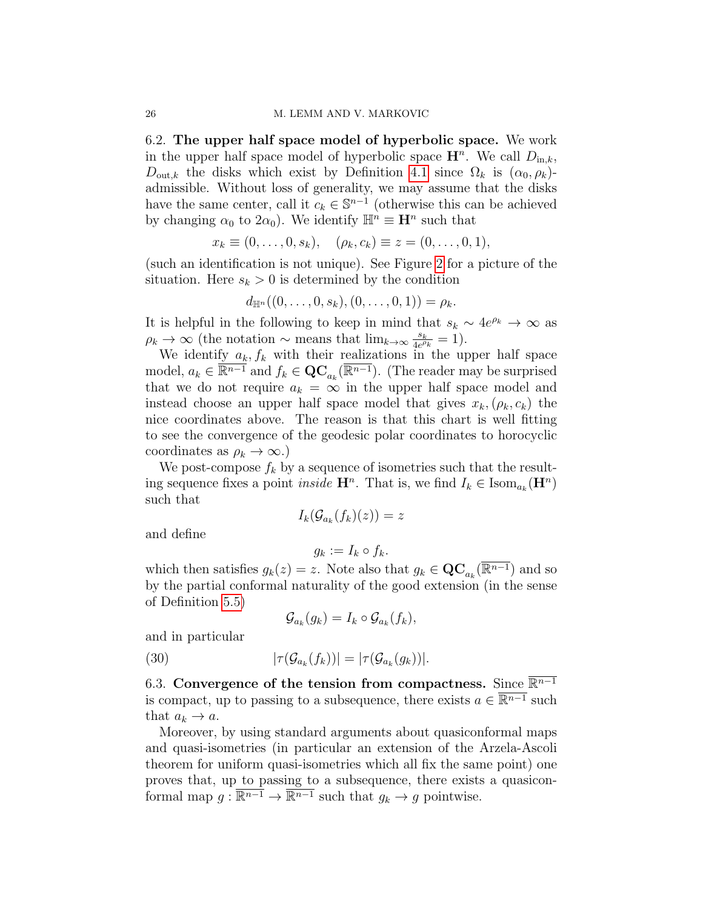6.2. The upper half space model of hyperbolic space. We work in the upper half space model of hyperbolic space  $\mathbf{H}^n$ . We call  $D_{\text{in},k}$ ,  $D_{\text{out},k}$  the disks which exist by Definition [4.1](#page-11-1) since  $\Omega_k$  is  $(\alpha_0, \rho_k)$ admissible. Without loss of generality, we may assume that the disks have the same center, call it  $c_k \in \mathbb{S}^{n-1}$  (otherwise this can be achieved by changing  $\alpha_0$  to  $2\alpha_0$ ). We identify  $\mathbb{H}^n \equiv \mathbf{H}^n$  such that

$$
x_k \equiv (0, \ldots, 0, s_k), \quad (\rho_k, c_k) \equiv z = (0, \ldots, 0, 1),
$$

(such an identification is not unique). See Figure [2](#page-26-0) for a picture of the situation. Here  $s_k > 0$  is determined by the condition

$$
d_{\mathbb{H}^n}((0,\ldots,0,s_k),(0,\ldots,0,1))=\rho_k.
$$

It is helpful in the following to keep in mind that  $s_k \sim 4e^{\rho_k} \to \infty$  as  $\rho_k \to \infty$  (the notation ~ means that  $\lim_{k \to \infty} \frac{s_k}{4e^{\rho}}$  $\frac{s_k}{4e^{\rho_k}}=1$ ).

We identify  $a_k$ ,  $f_k$  with their realizations in the upper half space model,  $a_k \in \overline{\mathbb{R}^{n-1}}$  and  $f_k \in \mathbf{QC}_{a_k}(\overline{\mathbb{R}^{n-1}})$ . (The reader may be surprised that we do not require  $a_k = \infty$  in the upper half space model and instead choose an upper half space model that gives  $x_k,(\rho_k, c_k)$  the nice coordinates above. The reason is that this chart is well fitting to see the convergence of the geodesic polar coordinates to horocyclic coordinates as  $\rho_k \to \infty$ .)

We post-compose  $f_k$  by a sequence of isometries such that the resulting sequence fixes a point *inside*  $\mathbf{H}^n$ . That is, we find  $I_k \in \text{Isom}_{a_k}(\mathbf{H}^n)$ such that

$$
I_k(\mathcal{G}_{a_k}(f_k)(z)) = z
$$

and define

$$
g_k := I_k \circ f_k.
$$

which then satisfies  $g_k(z) = z$ . Note also that  $g_k \in \mathbf{QC}_{a_k}(\overline{\mathbb{R}^{n-1}})$  and so by the partial conformal naturality of the good extension (in the sense of Definition [5.5\)](#page-22-1)

<span id="page-25-0"></span>
$$
\mathcal{G}_{a_k}(g_k) = I_k \circ \mathcal{G}_{a_k}(f_k),
$$

and in particular

(30) 
$$
|\tau(\mathcal{G}_{a_k}(f_k))| = |\tau(\mathcal{G}_{a_k}(g_k))|.
$$

6.3. Convergence of the tension from compactness. Since  $\overline{\mathbb{R}^{n-1}}$ is compact, up to passing to a subsequence, there exists  $a \in \overline{\mathbb{R}^{n-1}}$  such that  $a_k \to a$ .

Moreover, by using standard arguments about quasiconformal maps and quasi-isometries (in particular an extension of the Arzela-Ascoli theorem for uniform quasi-isometries which all fix the same point) one proves that, up to passing to a subsequence, there exists a quasiconformal map  $g: \overline{\mathbb{R}^{n-1}} \to \overline{\mathbb{R}^{n-1}}$  such that  $g_k \to g$  pointwise.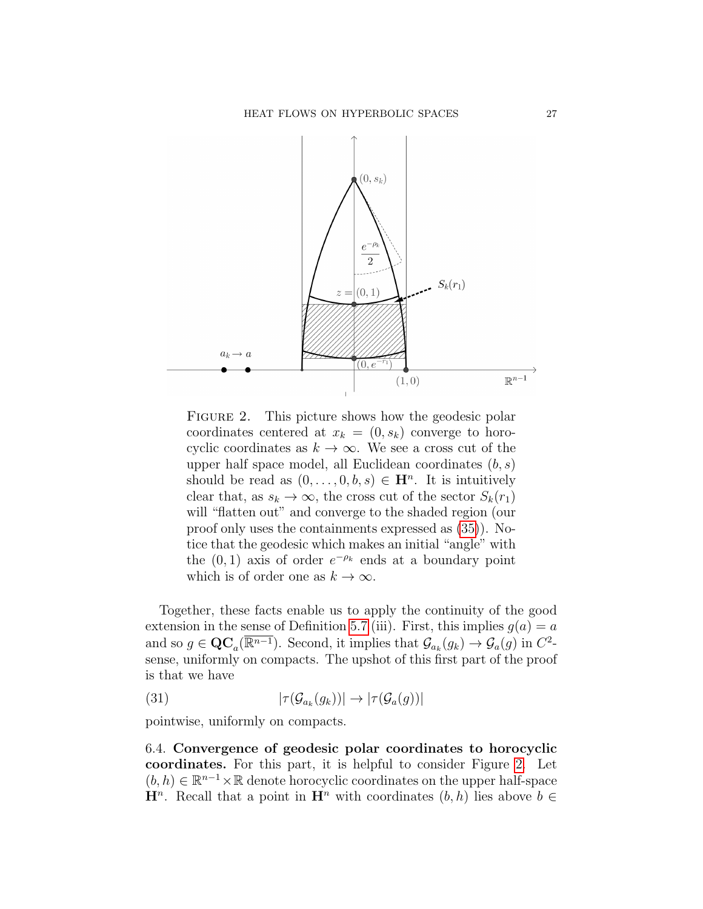

<span id="page-26-0"></span>FIGURE 2. This picture shows how the geodesic polar coordinates centered at  $x_k = (0, s_k)$  converge to horocyclic coordinates as  $k \to \infty$ . We see a cross cut of the upper half space model, all Euclidean coordinates  $(b, s)$ should be read as  $(0, \ldots, 0, b, s) \in \mathbf{H}^n$ . It is intuitively clear that, as  $s_k \to \infty$ , the cross cut of the sector  $S_k(r_1)$ will "flatten out" and converge to the shaded region (our proof only uses the containments expressed as [\(35\)](#page-27-0)). Notice that the geodesic which makes an initial "angle" with the  $(0, 1)$  axis of order  $e^{-\rho_k}$  ends at a boundary point which is of order one as  $k \to \infty$ .

Together, these facts enable us to apply the continuity of the good extension in the sense of Definition [5.7](#page-23-0) (iii). First, this implies  $g(a) = a$ and so  $g \in \mathbf{QC}_a(\overline{\mathbb{R}^{n-1}})$ . Second, it implies that  $\mathcal{G}_{a_k}(g_k) \to \mathcal{G}_a(g)$  in  $C^2$ sense, uniformly on compacts. The upshot of this first part of the proof is that we have

<span id="page-26-1"></span>(31) 
$$
|\tau(\mathcal{G}_{a_k}(g_k))| \to |\tau(\mathcal{G}_{a}(g))|
$$

pointwise, uniformly on compacts.

6.4. Convergence of geodesic polar coordinates to horocyclic coordinates. For this part, it is helpful to consider Figure [2.](#page-26-0) Let  $(b, h) \in \mathbb{R}^{n-1} \times \mathbb{R}$  denote horocyclic coordinates on the upper half-space  $\mathbf{H}^n$ . Recall that a point in  $\mathbf{H}^n$  with coordinates  $(b, h)$  lies above  $b \in$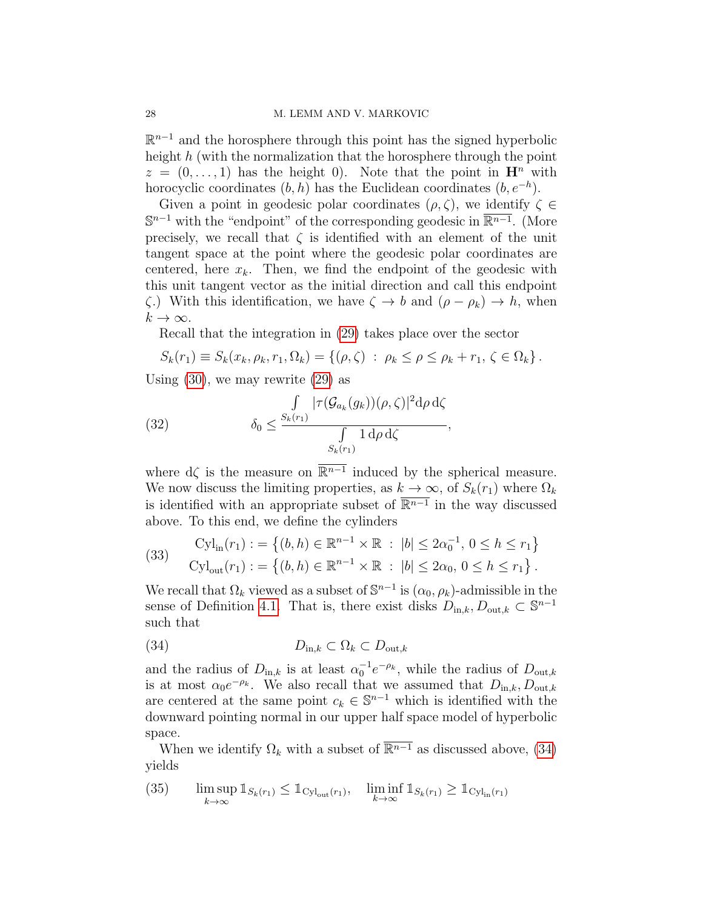$\mathbb{R}^{n-1}$  and the horosphere through this point has the signed hyperbolic height  $h$  (with the normalization that the horosphere through the point  $z = (0, \ldots, 1)$  has the height 0). Note that the point in  $\mathbf{H}^n$  with horocyclic coordinates  $(b, h)$  has the Euclidean coordinates  $(b, e^{-h})$ .

Given a point in geodesic polar coordinates  $(\rho, \zeta)$ , we identify  $\zeta \in$  $\mathbb{S}^{n-1}$  with the "endpoint" of the corresponding geodesic in  $\overline{\mathbb{R}^{n-1}}$ . (More precisely, we recall that  $\zeta$  is identified with an element of the unit tangent space at the point where the geodesic polar coordinates are centered, here  $x_k$ . Then, we find the endpoint of the geodesic with this unit tangent vector as the initial direction and call this endpoint  $\zeta$ .) With this identification, we have  $\zeta \to b$  and  $(\rho - \rho_k) \to h$ , when  $k\to\infty$ .

Recall that the integration in [\(29\)](#page-24-2) takes place over the sector

$$
S_k(r_1) \equiv S_k(x_k, \rho_k, r_1, \Omega_k) = \{(\rho, \zeta) : \rho_k \le \rho \le \rho_k + r_1, \zeta \in \Omega_k\}.
$$

Using [\(30\)](#page-25-0), we may rewrite [\(29\)](#page-24-2) as

<span id="page-27-3"></span>(32) 
$$
\delta_0 \leq \frac{\int_{S_k(r_1)} |\tau(\mathcal{G}_{a_k}(g_k))(\rho,\zeta)|^2 d\rho d\zeta}{\int_{S_k(r_1)} 1 d\rho d\zeta},
$$

where  $d\zeta$  is the measure on  $\overline{\mathbb{R}^{n-1}}$  induced by the spherical measure. We now discuss the limiting properties, as  $k \to \infty$ , of  $S_k(r_1)$  where  $\Omega_k$ is identified with an appropriate subset of  $\overline{\mathbb{R}^{n-1}}$  in the way discussed above. To this end, we define the cylinders

<span id="page-27-2"></span>
$$
\text{(33)} \quad \begin{aligned} \text{Cyl}_{\text{in}}(r_1) &:= \left\{ (b, h) \in \mathbb{R}^{n-1} \times \mathbb{R} \; : \; |b| \le 2\alpha_0^{-1}, \, 0 \le h \le r_1 \right\} \\ \text{Cyl}_{\text{out}}(r_1) &:= \left\{ (b, h) \in \mathbb{R}^{n-1} \times \mathbb{R} \; : \; |b| \le 2\alpha_0, \, 0 \le h \le r_1 \right\}. \end{aligned}
$$

We recall that  $\Omega_k$  viewed as a subset of  $\mathbb{S}^{n-1}$  is  $(\alpha_0, \rho_k)$ -admissible in the sense of Definition [4.1.](#page-11-1) That is, there exist disks  $D_{\text{in},k}, D_{\text{out},k} \subset \mathbb{S}^{n-1}$ such that

<span id="page-27-1"></span>
$$
(34) \t\t Din,k \subset \Omega_k \subset Dout,k
$$

and the radius of  $D_{\text{in},k}$  is at least  $\alpha_0^{-1}e^{-\rho_k}$ , while the radius of  $D_{\text{out},k}$ is at most  $\alpha_0 e^{-\rho_k}$ . We also recall that we assumed that  $D_{\text{in},k}, D_{\text{out},k}$ are centered at the same point  $c_k \in \mathbb{S}^{n-1}$  which is identified with the downward pointing normal in our upper half space model of hyperbolic space.

When we identify  $\Omega_k$  with a subset of  $\overline{\mathbb{R}^{n-1}}$  as discussed above, [\(34\)](#page-27-1) yields

<span id="page-27-0"></span>(35) 
$$
\limsup_{k \to \infty} \mathbb{1}_{S_k(r_1)} \leq \mathbb{1}_{\text{Cyl}_{\text{out}}(r_1)}, \quad \liminf_{k \to \infty} \mathbb{1}_{S_k(r_1)} \geq \mathbb{1}_{\text{Cyl}_{\text{in}}(r_1)}
$$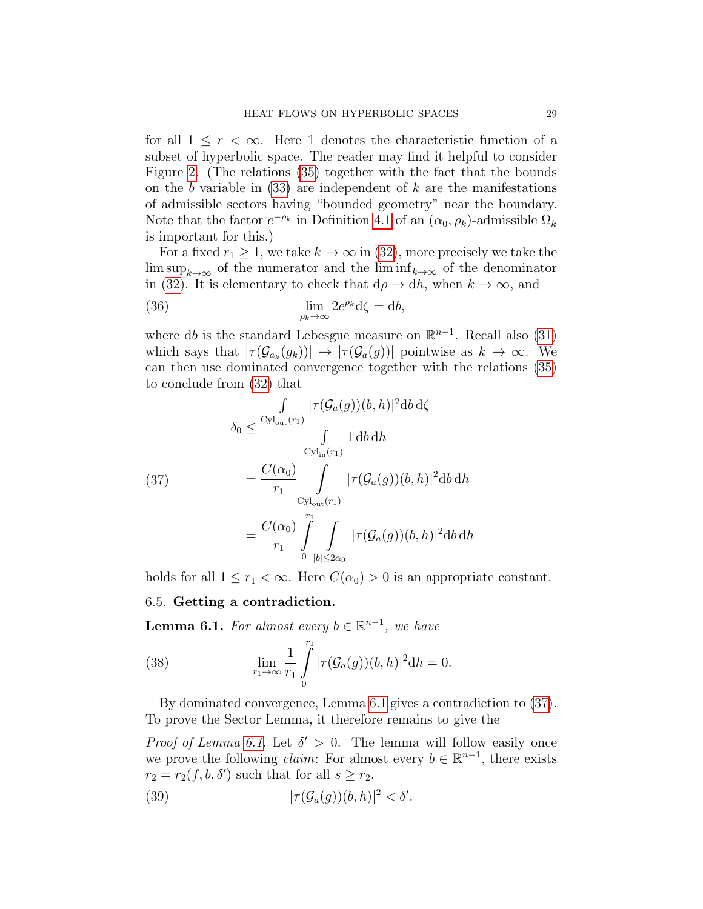for all  $1 \leq r < \infty$ . Here 1 denotes the characteristic function of a subset of hyperbolic space. The reader may find it helpful to consider Figure [2.](#page-26-0) (The relations [\(35\)](#page-27-0) together with the fact that the bounds on the b variable in  $(33)$  are independent of k are the manifestations of admissible sectors having "bounded geometry" near the boundary. Note that the factor  $e^{-\rho_k}$  in Definition [4.1](#page-11-1) of an  $(\alpha_0, \rho_k)$ -admissible  $\Omega_k$ is important for this.)

For a fixed  $r_1 \geq 1$ , we take  $k \to \infty$  in [\(32\)](#page-27-3), more precisely we take the  $\limsup_{k\to\infty}$  of the numerator and the  $\liminf_{k\to\infty}$  of the denominator in [\(32\)](#page-27-3). It is elementary to check that  $d\rho \rightarrow dh$ , when  $k \rightarrow \infty$ , and

(36) 
$$
\lim_{\rho_k \to \infty} 2e^{\rho_k} d\zeta = db,
$$

where db is the standard Lebesgue measure on  $\mathbb{R}^{n-1}$ . Recall also [\(31\)](#page-26-1) which says that  $|\tau(\mathcal{G}_{a_k}(g_k))| \to |\tau(\mathcal{G}_{a}(g))|$  pointwise as  $k \to \infty$ . We can then use dominated convergence together with the relations [\(35\)](#page-27-0) to conclude from [\(32\)](#page-27-3) that

<span id="page-28-1"></span>(37)  
\n
$$
\begin{aligned}\n\int_{\delta_0} \frac{\int_{\text{Cyl}_{\text{out}}(r_1)} |\tau(\mathcal{G}_a(g))(b, h)|^2 \text{d}b \,d\zeta} {\int_{\text{Cyl}_{\text{in}}(r_1)} 1 \,d b \,dh} \\
&= \frac{C(\alpha_0)}{r_1} \int_{\text{Cyl}_{\text{out}}(r_1)} |\tau(\mathcal{G}_a(g))(b, h)|^2 \text{d}b \,dh \\
&= \frac{C(\alpha_0)}{r_1} \int_{0}^{r_1} \int_{|b| \le 2\alpha_0} |\tau(\mathcal{G}_a(g))(b, h)|^2 \text{d}b \,dh\n\end{aligned}
$$

holds for all  $1 \leq r_1 < \infty$ . Here  $C(\alpha_0) > 0$  is an appropriate constant.

### 6.5. Getting a contradiction.

<span id="page-28-0"></span>**Lemma 6.1.** For almost every  $b \in \mathbb{R}^{n-1}$ , we have

<span id="page-28-2"></span>(38) 
$$
\lim_{r_1 \to \infty} \frac{1}{r_1} \int_{0}^{r_1} |\tau(\mathcal{G}_a(g))(b, h)|^2 dh = 0.
$$

By dominated convergence, Lemma [6.1](#page-28-0) gives a contradiction to [\(37\)](#page-28-1). To prove the Sector Lemma, it therefore remains to give the

*Proof of Lemma [6.1.](#page-28-0)* Let  $\delta' > 0$ . The lemma will follow easily once we prove the following *claim*: For almost every  $b \in \mathbb{R}^{n-1}$ , there exists  $r_2 = r_2(f, b, \delta')$  such that for all  $s \geq r_2$ ,

<span id="page-28-3"></span>(39) 
$$
|\tau(\mathcal{G}_a(g))(b,h)|^2 < \delta'.
$$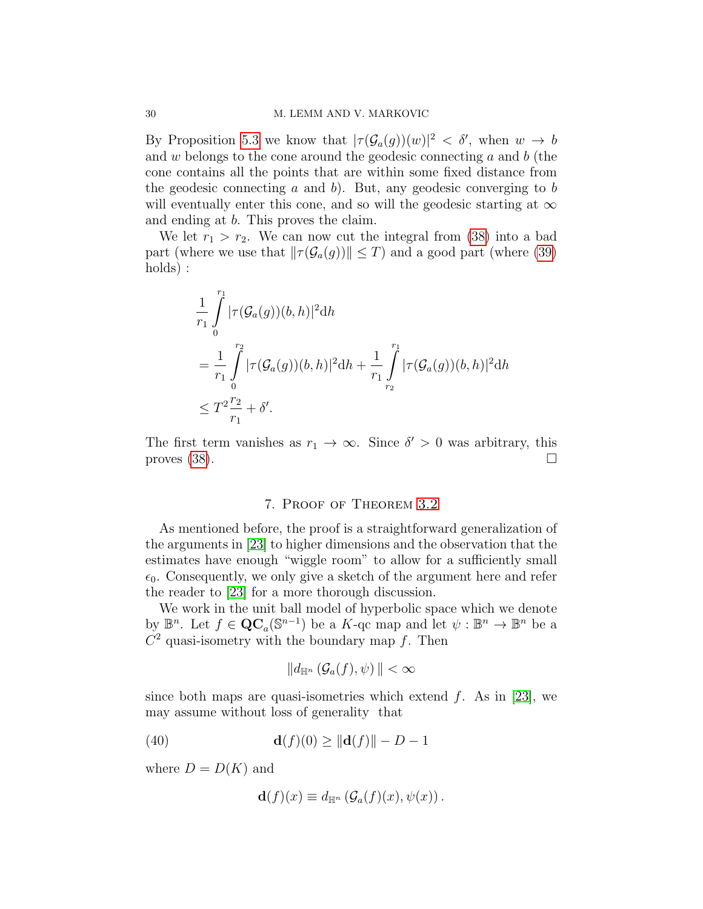By Proposition [5.3](#page-21-0) we know that  $|\tau(\mathcal{G}_a(g))(w)|^2 < \delta'$ , when  $w \to b$ and w belongs to the cone around the geodesic connecting  $a$  and  $b$  (the cone contains all the points that are within some fixed distance from the geodesic connecting a and b). But, any geodesic converging to b will eventually enter this cone, and so will the geodesic starting at  $\infty$ and ending at b. This proves the claim.

We let  $r_1 > r_2$ . We can now cut the integral from [\(38\)](#page-28-2) into a bad part (where we use that  $\|\tau(\mathcal{G}_a(g))\| \leq T$ ) and a good part (where [\(39\)](#page-28-3) holds) :

$$
\frac{1}{r_1} \int_{0}^{r_1} |\tau(\mathcal{G}_a(g))(b, h)|^2 dh
$$
\n  
\n
$$
= \frac{1}{r_1} \int_{0}^{r_2} |\tau(\mathcal{G}_a(g))(b, h)|^2 dh + \frac{1}{r_1} \int_{r_2}^{r_1} |\tau(\mathcal{G}_a(g))(b, h)|^2 dh
$$
\n  
\n
$$
\leq T^2 \frac{r_2}{r_1} + \delta'.
$$

The first term vanishes as  $r_1 \to \infty$ . Since  $\delta' > 0$  was arbitrary, this proves  $(38)$ .

## 7. Proof of Theorem [3.2](#page-7-0)

<span id="page-29-0"></span>As mentioned before, the proof is a straightforward generalization of the arguments in [\[23\]](#page-36-11) to higher dimensions and the observation that the estimates have enough "wiggle room" to allow for a sufficiently small  $\epsilon_0$ . Consequently, we only give a sketch of the argument here and refer the reader to [\[23\]](#page-36-11) for a more thorough discussion.

We work in the unit ball model of hyperbolic space which we denote by  $\mathbb{B}^n$ . Let  $f \in \mathbf{QC}_a(\mathbb{S}^{n-1})$  be a K-qc map and let  $\psi : \mathbb{B}^n \to \mathbb{B}^n$  be a  $C<sup>2</sup>$  quasi-isometry with the boundary map f. Then

$$
\|d_{\mathbb{H}^n}\left(\mathcal{G}_a(f),\psi\right)\| < \infty
$$

since both maps are quasi-isometries which extend  $f$ . As in [\[23\]](#page-36-11), we may assume without loss of generality that

(40) 
$$
\mathbf{d}(f)(0) \ge ||\mathbf{d}(f)|| - D - 1
$$

where  $D = D(K)$  and

<span id="page-29-1"></span>
$$
\mathbf{d}(f)(x) \equiv d_{\mathbb{H}^n} \left( \mathcal{G}_a(f)(x), \psi(x) \right).
$$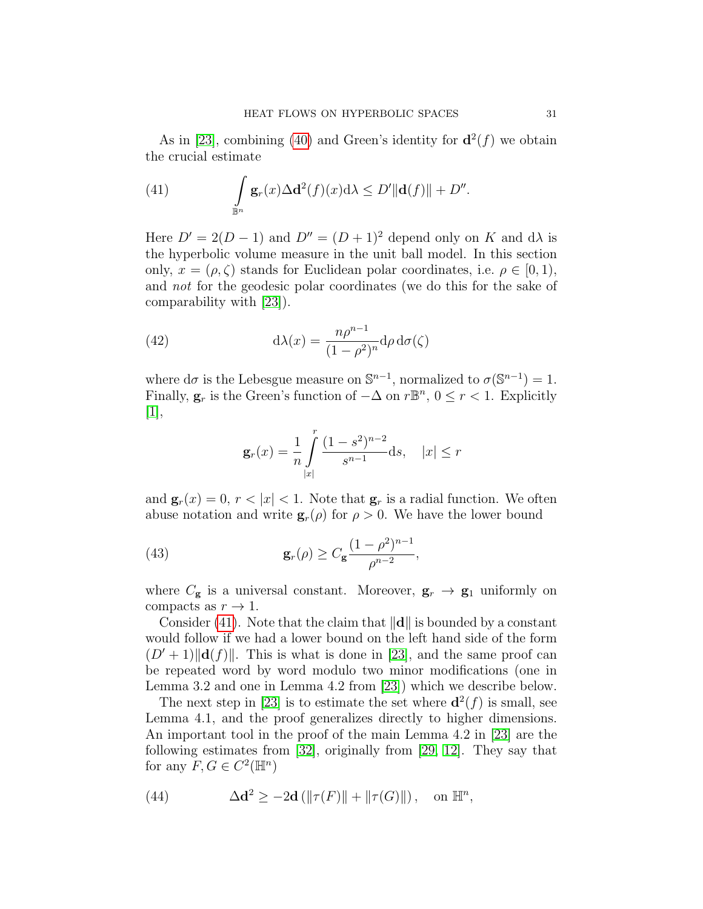As in [\[23\]](#page-36-11), combining [\(40\)](#page-29-1) and Green's identity for  $\mathbf{d}^2(f)$  we obtain the crucial estimate

<span id="page-30-0"></span>(41) 
$$
\int_{\mathbb{B}^n} \mathbf{g}_r(x) \Delta \mathbf{d}^2(f)(x) d\lambda \le D' \|\mathbf{d}(f)\| + D''.
$$

Here  $D' = 2(D - 1)$  and  $D'' = (D + 1)^2$  depend only on K and d $\lambda$  is the hyperbolic volume measure in the unit ball model. In this section only,  $x = (\rho, \zeta)$  stands for Euclidean polar coordinates, i.e.  $\rho \in [0, 1)$ , and not for the geodesic polar coordinates (we do this for the sake of comparability with [\[23\]](#page-36-11)).

(42) 
$$
d\lambda(x) = \frac{n\rho^{n-1}}{(1-\rho^2)^n} d\rho d\sigma(\zeta)
$$

where  $d\sigma$  is the Lebesgue measure on  $\mathbb{S}^{n-1}$ , normalized to  $\sigma(\mathbb{S}^{n-1}) = 1$ . Finally,  $\mathbf{g}_r$  is the Green's function of  $-\Delta$  on  $r\mathbb{B}^n$ ,  $0 \leq r < 1$ . Explicitly [\[1\]](#page-35-10),

<span id="page-30-2"></span><span id="page-30-1"></span>
$$
\mathbf{g}_r(x) = \frac{1}{n} \int_{|x|}^r \frac{(1-s^2)^{n-2}}{s^{n-1}} \mathrm{d} s, \quad |x| \le r
$$

and  $\mathbf{g}_r(x) = 0, r < |x| < 1$ . Note that  $\mathbf{g}_r$  is a radial function. We often abuse notation and write  $\mathbf{g}_r(\rho)$  for  $\rho > 0$ . We have the lower bound

(43) 
$$
\mathbf{g}_r(\rho) \ge C_\mathbf{g} \frac{(1-\rho^2)^{n-1}}{\rho^{n-2}},
$$

where  $C_{\mathbf{g}}$  is a universal constant. Moreover,  $\mathbf{g}_r \to \mathbf{g}_1$  uniformly on compacts as  $r \to 1$ .

Consider [\(41\)](#page-30-0). Note that the claim that  $\|\mathbf{d}\|$  is bounded by a constant would follow if we had a lower bound on the left hand side of the form  $(D' + 1) ||d(f)||$ . This is what is done in [\[23\]](#page-36-11), and the same proof can be repeated word by word modulo two minor modifications (one in Lemma 3.2 and one in Lemma 4.2 from [\[23\]](#page-36-11)) which we describe below.

The next step in [\[23\]](#page-36-11) is to estimate the set where  $\mathbf{d}^2(f)$  is small, see Lemma 4.1, and the proof generalizes directly to higher dimensions. An important tool in the proof of the main Lemma 4.2 in [\[23\]](#page-36-11) are the following estimates from [\[32\]](#page-36-10), originally from [\[29,](#page-36-15) [12\]](#page-35-5). They say that for any  $F, G \in C^2(\mathbb{H}^n)$ 

(44) 
$$
\Delta \mathbf{d}^2 \ge -2\mathbf{d} \left( \|\tau(F)\| + \|\tau(G)\| \right), \text{ on } \mathbb{H}^n,
$$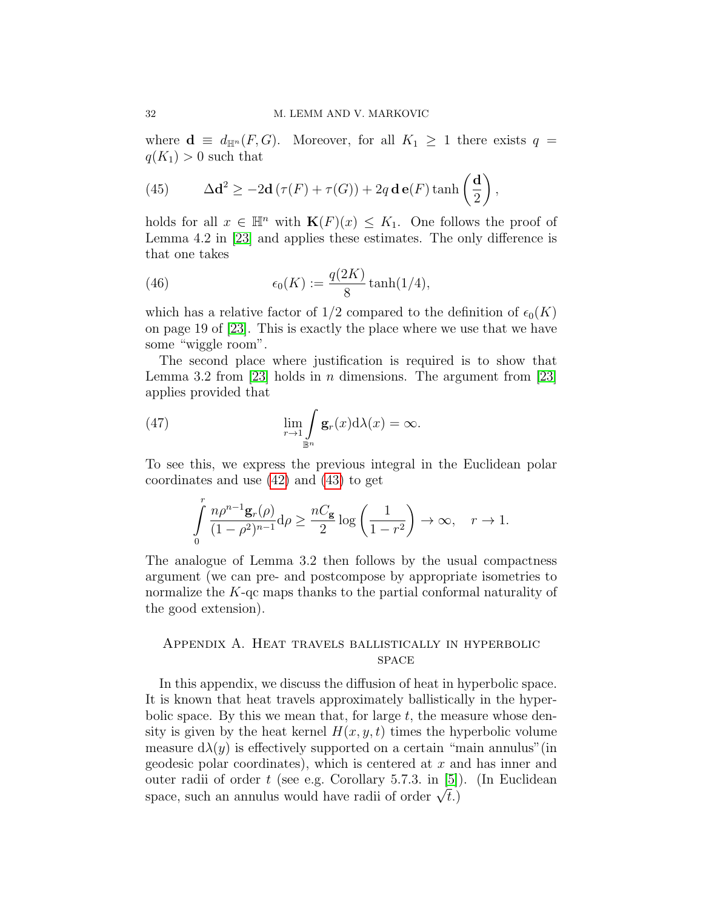where  $\mathbf{d} \equiv d_{\mathbb{H}^n}(F, G)$ . Moreover, for all  $K_1 \geq 1$  there exists  $q =$  $q(K_1) > 0$  such that

(45) 
$$
\Delta \mathbf{d}^2 \ge -2\mathbf{d} \left(\tau(F) + \tau(G)\right) + 2q \mathbf{d} \mathbf{e}(F) \tanh\left(\frac{\mathbf{d}}{2}\right),
$$

holds for all  $x \in \mathbb{H}^n$  with  $\mathbf{K}(F)(x) \leq K_1$ . One follows the proof of Lemma 4.2 in [\[23\]](#page-36-11) and applies these estimates. The only difference is that one takes

(46) 
$$
\epsilon_0(K) := \frac{q(2K)}{8} \tanh(1/4),
$$

which has a relative factor of  $1/2$  compared to the definition of  $\epsilon_0(K)$ on page 19 of [\[23\]](#page-36-11). This is exactly the place where we use that we have some "wiggle room".

The second place where justification is required is to show that Lemma 3.2 from [\[23\]](#page-36-11) holds in *n* dimensions. The argument from [23] applies provided that

(47) 
$$
\lim_{r \to 1} \int_{\mathbb{B}^n} \mathbf{g}_r(x) d\lambda(x) = \infty.
$$

To see this, we express the previous integral in the Euclidean polar coordinates and use [\(42\)](#page-30-1) and [\(43\)](#page-30-2) to get

$$
\int_{0}^{r} \frac{n\rho^{n-1}\mathbf{g}_r(\rho)}{(1-\rho^2)^{n-1}}\mathrm{d}\rho \ge \frac{nC_{\mathbf{g}}}{2}\log\left(\frac{1}{1-r^2}\right) \to \infty, \quad r \to 1.
$$

The analogue of Lemma 3.2 then follows by the usual compactness argument (we can pre- and postcompose by appropriate isometries to normalize the  $K$ -qc maps thanks to the partial conformal naturality of the good extension).

# <span id="page-31-0"></span>Appendix A. Heat travels ballistically in hyperbolic **SPACE**

In this appendix, we discuss the diffusion of heat in hyperbolic space. It is known that heat travels approximately ballistically in the hyperbolic space. By this we mean that, for large  $t$ , the measure whose density is given by the heat kernel  $H(x, y, t)$  times the hyperbolic volume measure  $d\lambda(y)$  is effectively supported on a certain "main annulus" (in geodesic polar coordinates), which is centered at  $x$  and has inner and outer radii of order t (see e.g. Corollary 5.7.3. in [\[5\]](#page-35-11)). (In Euclidean outer radii or order t (see e.g. Coronary 5.7.5. in [5])<br>space, such an annulus would have radii of order  $\sqrt{t}$ .)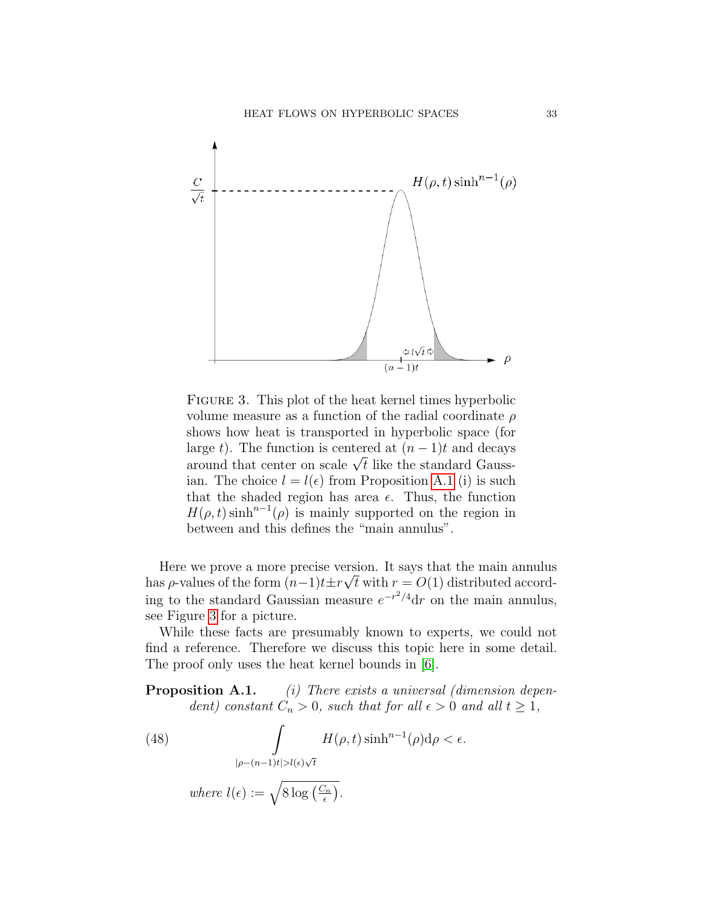

<span id="page-32-0"></span>FIGURE 3. This plot of the heat kernel times hyperbolic volume measure as a function of the radial coordinate  $\rho$ shows how heat is transported in hyperbolic space (for large t). The function is centered at  $(n-1)t$  and decays arge  $\iota$ ). The function is centered at  $(n-1)\iota$  and decays around that center on scale  $\sqrt{t}$  like the standard Gaussian. The choice  $l = l(\epsilon)$  from Proposition [A.1](#page-0-1) (i) is such that the shaded region has area  $\epsilon$ . Thus, the function  $H(\rho, t)$  sinh<sup>n-1</sup>( $\rho$ ) is mainly supported on the region in between and this defines the "main annulus".

Here we prove a more precise version. It says that the main annulus has  $\rho$ -values of the form  $(n-1)t\pm r\sqrt{t}$  with  $r = O(1)$  distributed according to the standard Gaussian measure  $e^{-r^2/4}dr$  on the main annulus, see Figure [3](#page-32-0) for a picture.

While these facts are presumably known to experts, we could not find a reference. Therefore we discuss this topic here in some detail. The proof only uses the heat kernel bounds in [\[6\]](#page-35-12).

**Proposition A.1.** (i) There exists a universal (dimension dependent) constant  $C_n > 0$ , such that for all  $\epsilon > 0$  and all  $t \ge 1$ ,

(48) 
$$
\int_{|\rho - (n-1)t| > l(\epsilon)\sqrt{t}} H(\rho, t) \sinh^{n-1}(\rho) d\rho < \epsilon.
$$

where 
$$
l(\epsilon) := \sqrt{8 \log\left(\frac{C_n}{\epsilon}\right)}
$$
.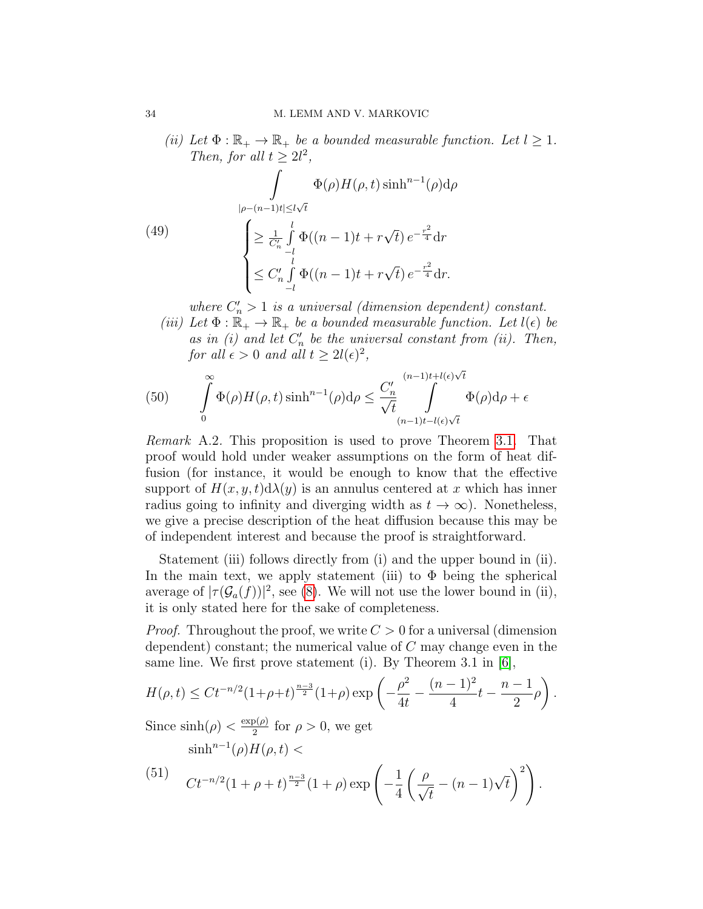(ii) Let  $\Phi : \mathbb{R}_+ \to \mathbb{R}_+$  be a bounded measurable function. Let  $l \geq 1$ . Then, for all  $t \geq 2l^2$ ,

(49)  

$$
\int_{|\rho-(n-1)t|\le l\sqrt{t}} \Phi(\rho)H(\rho,t)\sinh^{n-1}(\rho)d\rho
$$

$$
\begin{cases}\n\ge \frac{1}{C'_n} \int_{-l}^{l} \Phi((n-1)t + r\sqrt{t}) e^{-\frac{r^2}{4}} dr \\
\le C'_n \int_{-l}^{l} \Phi((n-1)t + r\sqrt{t}) e^{-\frac{r^2}{4}} dr.\n\end{cases}
$$

<span id="page-33-1"></span>where  $C'_n > 1$  is a universal (dimension dependent) constant.

(iii) Let  $\Phi : \mathbb{R}_+ \to \mathbb{R}_+$  be a bounded measurable function. Let  $l(\epsilon)$  be as in  $(i)$  and let  $C'_n$  be the universal constant from  $(ii)$ . Then, for all  $\epsilon > 0$  and all  $t \geq 2l(\epsilon)^2$ ,

(50) 
$$
\int_{0}^{\infty} \Phi(\rho) H(\rho, t) \sinh^{n-1}(\rho) d\rho \leq \frac{C'_n}{\sqrt{t}} \int_{(n-1)t-l(\epsilon)\sqrt{t}}^{(n-1)t+l(\epsilon)\sqrt{t}} \Phi(\rho) d\rho + \epsilon
$$

Remark A.2. This proposition is used to prove Theorem [3.1.](#page-6-1) That proof would hold under weaker assumptions on the form of heat diffusion (for instance, it would be enough to know that the effective support of  $H(x, y, t) d\lambda(y)$  is an annulus centered at x which has inner radius going to infinity and diverging width as  $t \to \infty$ ). Nonetheless, we give a precise description of the heat diffusion because this may be of independent interest and because the proof is straightforward.

Statement (iii) follows directly from (i) and the upper bound in (ii). In the main text, we apply statement (iii) to  $\Phi$  being the spherical average of  $|\tau(\mathcal{G}_a(f))|^2$ , see [\(8\)](#page-10-0). We will not use the lower bound in (ii), it is only stated here for the sake of completeness.

*Proof.* Throughout the proof, we write  $C > 0$  for a universal (dimension dependent) constant; the numerical value of  $C$  may change even in the same line. We first prove statement (i). By Theorem 3.1 in [\[6\]](#page-35-12),

$$
H(\rho, t) \leq Ct^{-n/2} (1+\rho+t)^{\frac{n-3}{2}} (1+\rho) \exp\left(-\frac{\rho^2}{4t} - \frac{(n-1)^2}{4}t - \frac{n-1}{2}\rho\right).
$$

.

Since  $\sinh(\rho) < \frac{\exp(\rho)}{2}$  $\frac{\rho(\rho)}{2}$  for  $\rho > 0$ , we get

<span id="page-33-0"></span>
$$
(\text{51}) \quad \text{C}t^{-n/2}(1+\rho+t)^{\frac{n-3}{2}}(1+\rho)\exp\left(-\frac{1}{4}\left(\frac{\rho}{\sqrt{t}}-(n-1)\sqrt{t}\right)^2\right)
$$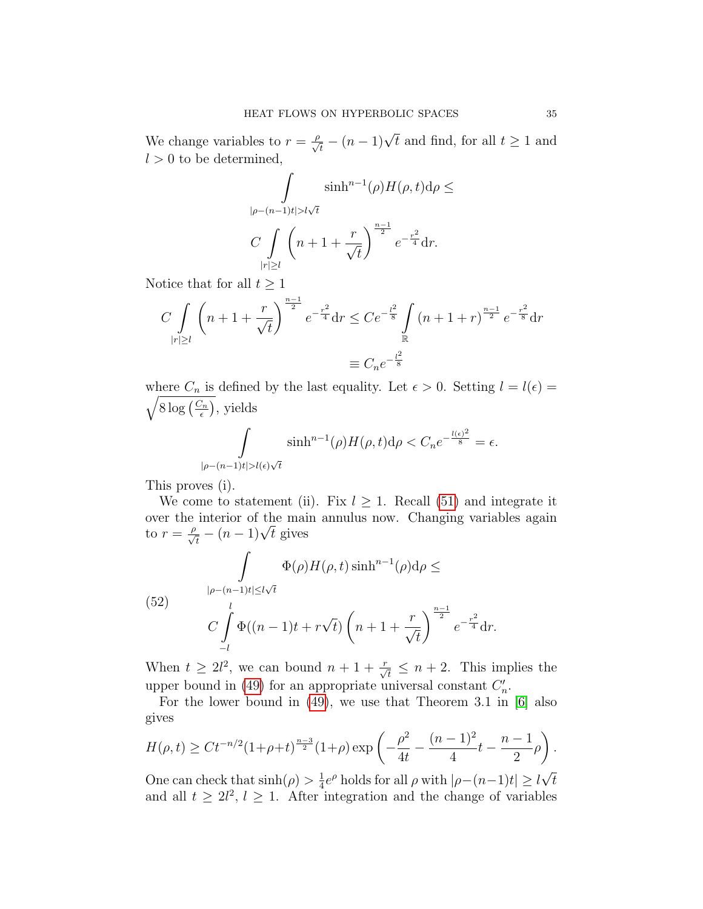We change variables to  $r = \frac{\rho}{\sqrt{t}} - (n-1)\sqrt{t}$  and find, for all  $t \ge 1$  and  $l > 0$  to be determined,

$$
\int_{|\rho - (n-1)t| > l\sqrt{t}} \sinh^{n-1}(\rho) H(\rho, t) d\rho \le
$$
  

$$
C \int_{|r| \ge l} \left( n + 1 + \frac{r}{\sqrt{t}} \right)^{\frac{n-1}{2}} e^{-\frac{r^2}{4}} dr.
$$

Notice that for all  $t \geq 1$ 

$$
C \int_{|r| \ge l} \left( n + 1 + \frac{r}{\sqrt{t}} \right)^{\frac{n-1}{2}} e^{-\frac{r^2}{4}} dr \le C e^{-\frac{l^2}{8}} \int_{\mathbb{R}} (n + 1 + r)^{\frac{n-1}{2}} e^{-\frac{r^2}{8}} dr
$$
  

$$
\equiv C_n e^{-\frac{l^2}{8}}
$$

where  $C_n$  is defined by the last equality. Let  $\epsilon > 0$ . Setting  $l = l(\epsilon) =$  $\sqrt{8 \log \left( \frac{C_n}{\epsilon} \right)}$  $(\frac{C_n}{\epsilon}),$  yields

$$
\int\limits_{|\rho-(n-1)t|>l(\epsilon)\sqrt{t}}\sinh^{n-1}(\rho)H(\rho,t)\mathrm{d}\rho
$$

This proves (i).

We come to statement (ii). Fix  $l \geq 1$ . Recall [\(51\)](#page-33-0) and integrate it over the interior of the main annulus now. Changing variables again over the interior of the mair<br>to  $r = \frac{\rho}{\sqrt{t}} - (n-1)\sqrt{t}$  gives

<span id="page-34-0"></span>(52) 
$$
\int_{|\rho-(n-1)t|\le l\sqrt{t}} \Phi(\rho)H(\rho,t)\sinh^{n-1}(\rho)d\rho \le
$$

$$
C \int_{-l}^{l} \Phi((n-1)t + r\sqrt{t})\left(n+1+\frac{r}{\sqrt{t}}\right)^{\frac{n-1}{2}}e^{-\frac{r^2}{4}}dr.
$$

When  $t \geq 2l^2$ , we can bound  $n+1+\frac{r}{\sqrt{t}} \leq n+2$ . This implies the upper bound in [\(49\)](#page-33-1) for an appropriate universal constant  $C'_n$ .

For the lower bound in [\(49\)](#page-33-1), we use that Theorem 3.1 in [\[6\]](#page-35-12) also gives

$$
H(\rho, t) \ge Ct^{-n/2} (1 + \rho + t)^{\frac{n-3}{2}} (1 + \rho) \exp\left(-\frac{\rho^2}{4t} - \frac{(n-1)^2}{4}t - \frac{n-1}{2}\rho\right).
$$

One can check that  $\sinh(\rho) > \frac{1}{4}$  $\frac{1}{4}e^{\rho}$  holds for all  $\rho$  with  $|\rho-(n-1)t| \geq l$ t and all  $t \geq 2l^2$ ,  $l \geq 1$ . After integration and the change of variables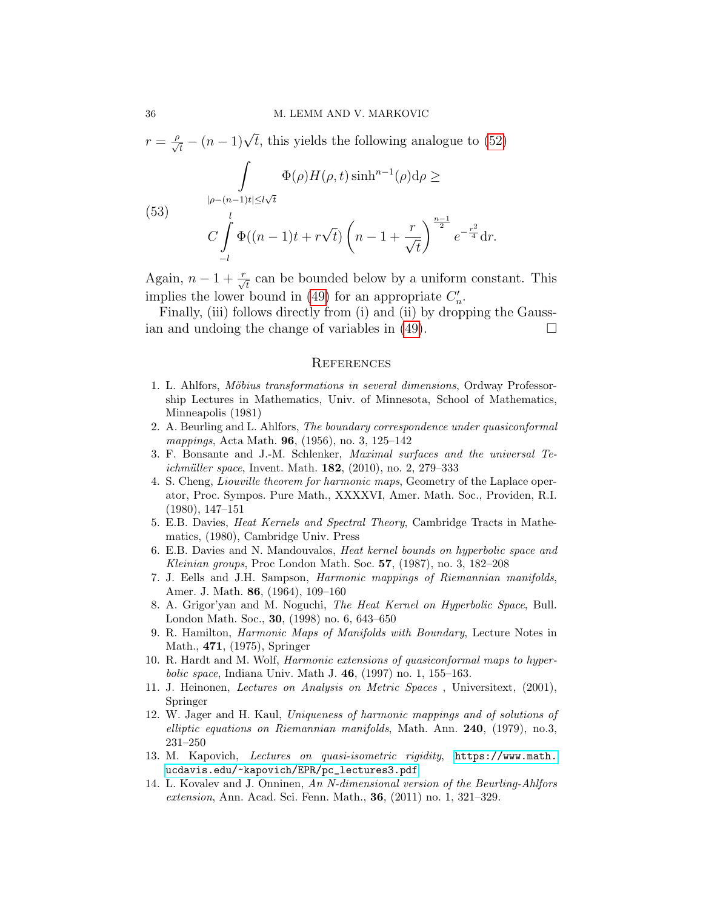$r = \frac{\rho}{\sqrt{t}} - (n-1)\sqrt{t}$ , this yields the following analogue to [\(52\)](#page-34-0)

$$
\int_{|\rho - (n-1)t| \le l\sqrt{t}} \Phi(\rho) H(\rho, t) \sinh^{n-1}(\rho) d\rho \ge
$$
\n(53)

$$
C\int\limits_{-l}\Phi((n-1)t+r\sqrt{t})\left(n-1+\frac{r}{\sqrt{t}}\right)^{\frac{n}{2}}e^{-\frac{r^2}{4}}dr.
$$

Again,  $n-1+\frac{r}{\sqrt{t}}$  can be bounded below by a uniform constant. This implies the lower bound in [\(49\)](#page-33-1) for an appropriate  $C'_n$ .

Finally, (iii) follows directly from (i) and (ii) by dropping the Gaussian and undoing the change of variables in  $(49)$ .

#### <span id="page-35-0"></span>**REFERENCES**

- <span id="page-35-10"></span>1. L. Ahlfors, Möbius transformations in several dimensions, Ordway Professorship Lectures in Mathematics, Univ. of Minnesota, School of Mathematics, Minneapolis (1981)
- <span id="page-35-8"></span>2. A. Beurling and L. Ahlfors, The boundary correspondence under quasiconformal mappings, Acta Math. 96, (1956), no. 3, 125–142
- <span id="page-35-4"></span>3. F. Bonsante and J.-M. Schlenker, Maximal surfaces and the universal Te*ichmüller space*, Invent. Math.  $182$ ,  $(2010)$ , no. 2, 279–333
- <span id="page-35-6"></span>4. S. Cheng, Liouville theorem for harmonic maps, Geometry of the Laplace operator, Proc. Sympos. Pure Math., XXXXVI, Amer. Math. Soc., Providen, R.I. (1980), 147–151
- <span id="page-35-11"></span>5. E.B. Davies, Heat Kernels and Spectral Theory, Cambridge Tracts in Mathematics, (1980), Cambridge Univ. Press
- <span id="page-35-12"></span>6. E.B. Davies and N. Mandouvalos, Heat kernel bounds on hyperbolic space and Kleinian groups, Proc London Math. Soc. 57, (1987), no. 3, 182–208
- <span id="page-35-1"></span>7. J. Eells and J.H. Sampson, Harmonic mappings of Riemannian manifolds, Amer. J. Math. 86, (1964), 109–160
- 8. A. Grigor'yan and M. Noguchi, The Heat Kernel on Hyperbolic Space, Bull. London Math. Soc., 30, (1998) no. 6, 643–650
- <span id="page-35-2"></span>9. R. Hamilton, Harmonic Maps of Manifolds with Boundary, Lecture Notes in Math., 471, (1975), Springer
- <span id="page-35-3"></span>10. R. Hardt and M. Wolf, Harmonic extensions of quasiconformal maps to hyperbolic space, Indiana Univ. Math J. 46, (1997) no. 1, 155–163.
- 11. J. Heinonen, Lectures on Analysis on Metric Spaces , Universitext, (2001), Springer
- <span id="page-35-5"></span>12. W. Jager and H. Kaul, Uniqueness of harmonic mappings and of solutions of elliptic equations on Riemannian manifolds, Math. Ann.  $240$ , (1979), no.3, 231–250
- <span id="page-35-7"></span>13. M. Kapovich, Lectures on quasi-isometric rigidity, [https://www.math.](https://www.math.ucdavis.edu/~kapovich/EPR/pc_lectures3.pdf) [ucdavis.edu/~kapovich/EPR/pc\\_lectures3.pdf](https://www.math.ucdavis.edu/~kapovich/EPR/pc_lectures3.pdf)
- <span id="page-35-9"></span>14. L. Kovalev and J. Onninen, An N-dimensional version of the Beurling-Ahlfors extension, Ann. Acad. Sci. Fenn. Math., 36, (2011) no. 1, 321–329.